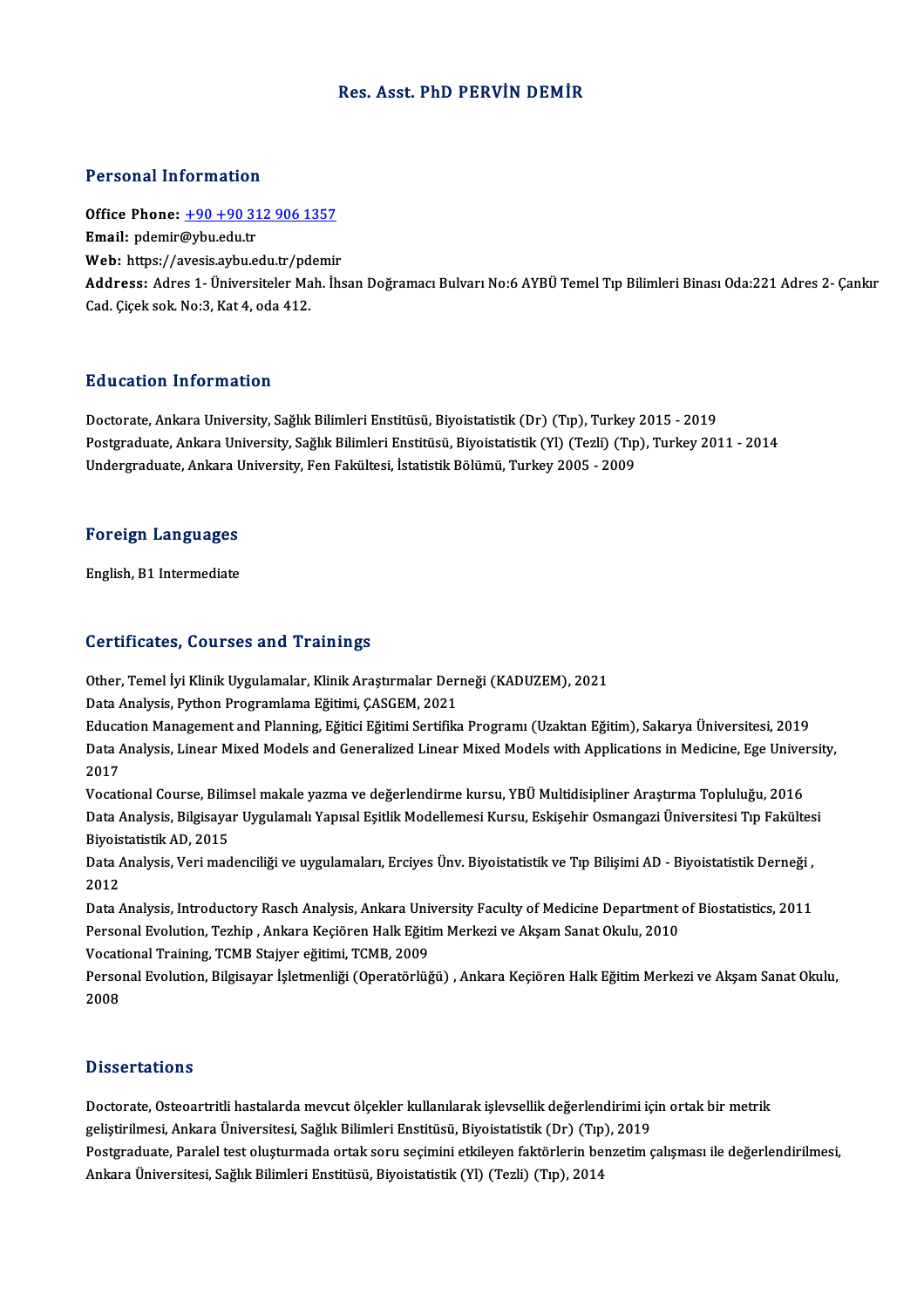### Res. Asst. PhD PERVİN DEMİR

#### Personal Information

Personal Information<br>Office Phone: <u>+90 +90 312 906 1357</u><br>Email: ndemir@uby.edu.tr office Phone: <u>+90 +90 31</u><br>Email: pdemir@ybu.edu.tr<br>Web. https://ayesis.aybu.edu Office Phone: <u>+90 +90 312 906 1357</u><br>Email: pdemir@ybu.edu.tr<br>Web: https://a[vesis.aybu.edu.tr/pdemir](tel:+90 +90 312 906 1357) Email: pdemir@ybu.edu.tr<br>Web: https://avesis.aybu.edu.tr/pdemir<br>Address: Adres 1- Üniversiteler Mah. İhsan Doğramacı Bulvarı No:6 AYBÜ Temel Tıp Bilimleri Binası Oda:221 Adres 2- Çankır<br>Cad. Cicek sok. No:3, Kat 4, oda 412 Web: https://avesis.aybu.edu.tr/pdemir

### Education Information

<mark>Education Information</mark><br>Doctorate, Ankara University, Sağlık Bilimleri Enstitüsü, Biyoistatistik (Dr) (Tıp), Turkey 2015 - 2019<br>Postaraduata Ankara University, Sağlık Bilimleri Enstitüsü, Biyoistatistik (Vl) (Terli) (Tın), Postgraduate, Ankara University, Sağlık Bilimleri Enstitüsü, Biyoistatistik (Yl) (Tezli) (Tıp), Turkey 2011 - 2014<br>Undergraduate, Ankara University, Fen Fakültesi, İstatistik Bölümü, Turkey 2005 - 2009 Doctorate, Ankara University, Sağlık Bilimleri Enstitüsü, Biyoistatistik (Dr) (Tıp), Turkey<br>Postgraduate, Ankara University, Sağlık Bilimleri Enstitüsü, Biyoistatistik (Yl) (Tezli) (Tıp<br>Undergraduate, Ankara University, Fe

# <sub>Undergraduate, Ankara t<br>Foreign Languages</sub> F<mark>oreign Languages</mark><br>English, B1 Intermediate

# English, B1 Intermediate<br>Certificates, Courses and Trainings

Other, Temel İyi Klinik Uygulamalar, Klinik Araştırmalar Derneği (KADUZEM), 2021

Data Analysis, Python Programlama Eğitimi, ÇASGEM, 2021

Education Management and Planning, Eğitici Eğitimi Sertifika Programı (Uzaktan Eğitim), Sakarya Üniversitesi, 2019 Data Analysis, Python Programlama Eğitimi, ÇASGEM, 2021<br>Education Management and Planning, Eğitici Eğitimi Sertifika Programı (Uzaktan Eğitim), Sakarya Üniversitesi, 2019<br>Data Analysis, Linear Mixed Models and Generalized Educa<br>Data *I*<br>2017<br>Vocati Data Analysis, Linear Mixed Models and Generalized Linear Mixed Models with Applications in Medicine, Ege Univer<br>2017<br>Vocational Course, Bilimsel makale yazma ve değerlendirme kursu, YBÜ Multidisipliner Araştırma Topluluğu

2017<br>Vocational Course, Bilimsel makale yazma ve değerlendirme kursu, YBÜ Multidisipliner Araştırma Topluluğu, 2016<br>Data Analysis, Bilgisayar Uygulamalı Yapısal Eşitlik Modellemesi Kursu, Eskişehir Osmangazi Üniversitesi T Vocational Course, Bilimsel makale yazma ve değerlendirme kursu, YBÜ Multidisipliner Araştırma Topluluğu, 2016<br>Data Analysis, Bilgisayar Uygulamalı Yapısal Eşitlik Modellemesi Kursu, Eskişehir Osmangazi Üniversitesi Tıp Fa Data Analysis, Bilgisayar Uygulamalı Yapısal Eşitlik Modellemesi Kursu, Eskişehir Osmangazi Üniversitesi Tıp Fakültes<br>Biyoistatistik AD, 2015<br>Data Analysis, Veri madenciliği ve uygulamaları, Erciyes Ünv. Biyoistatistik ve

Biyoistatistik AD, 2015<br>Data Analysis, Veri maq<br>2012 Data Analysis, Veri madenciliği ve uygulamaları, Erciyes Ünv. Biyoistatistik ve Tıp Bilişimi AD - Biyoistatistik Derneği ,<br>2012<br>Data Analysis, Introductory Rasch Analysis, Ankara University Faculty of Medicine Department o

2012<br>Data Analysis, Introductory Rasch Analysis, Ankara University Faculty of Medicine Department<br>Personal Evolution, Tezhip , Ankara Keçiören Halk Eğitim Merkezi ve Akşam Sanat Okulu, 2010<br>Vegational Training, TCMP Staive Data Analysis, Introductory Rasch Analysis, Ankara Uni<br>Personal Evolution, Tezhip , Ankara Keçiören Halk Eğiti<br>Vocational Training, TCMB Stajyer eğitimi, TCMB, 2009<br>Personal Evolution, Bilgisayar İslatmanliği (Operatörlüğ

Vocational Training, TCMB Stajyer eğitimi, TCMB, 2009

Personal Evolution, Tezhip , Ankara Keçiören Halk Eğitim Merkezi ve Akşam Sanat Okulu, 2010<br>Vocational Training, TCMB Stajyer eğitimi, TCMB, 2009<br>Personal Evolution, Bilgisayar İşletmenliği (Operatörlüğü) , Ankara Keçiören

### **Dissertations**

Doctorate, Osteoartritli hastalarda mevcut ölçekler kullanılarak işlevsellik değerlendirimi için ortak bir metrik geliştirilmesi,<br>Doctorate, Osteoartritli hastalarda mevcut ölçekler kullanılarak işlevsellik değerlendirimi iç<br>geliştirilmesi, Ankara Üniversitesi, Sağlık Bilimleri Enstitüsü, Biyoistatistik (Dr) (Tıp), 2019<br>Postaraduata P Postgraduate, Paralel test oluşturmada ortak soru seçimini etkileyen faktörlerin benzetim çalışması ile değerlendirilmesi,<br>Ankara Üniversitesi, Sağlık Bilimleri Enstitüsü, Biyoistatistik (Yl) (Tezli) (Tıp), 2014 geliştirilmesi, Ankara Üniversitesi, Sağlık Bilimleri Enstitüsü, Biyoistatistik (Dr) (Tıp)<br>Postgraduate, Paralel test oluşturmada ortak soru seçimini etkileyen faktörlerin ben<br>Ankara Üniversitesi, Sağlık Bilimleri Enstitüs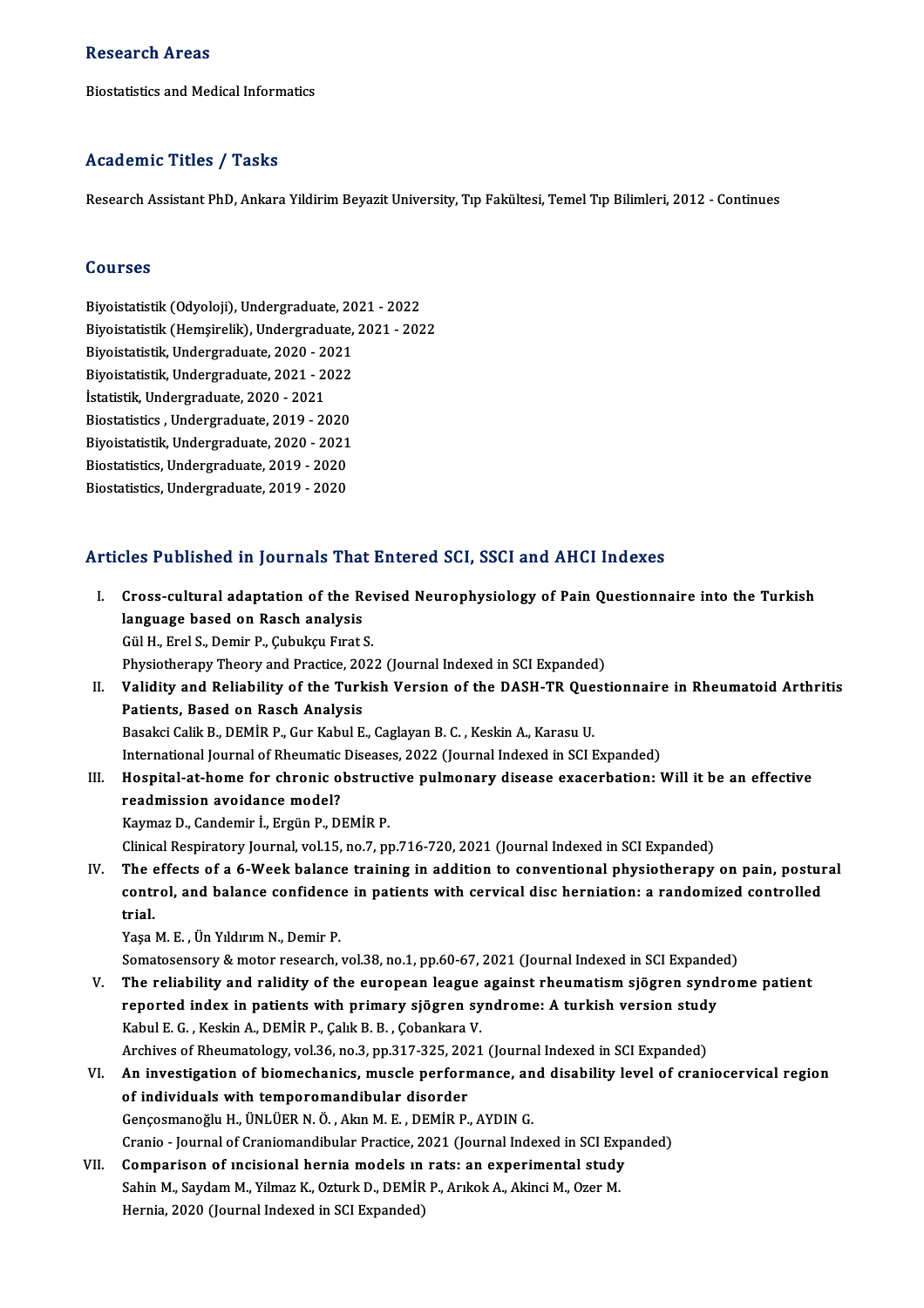#### **Research Areas**

Biostatistics and Medical Informatics

### Academic Titles / Tasks

Research Assistant PhD, Ankara Yildirim Beyazit University, Tıp Fakültesi, Temel Tıp Bilimleri, 2012 - Continues

### Courses

Courses<br>Biyoistatistik (Odyoloji), Undergraduate, 2021 - 2022<br>Biyoistatistik (Homsirolik), Undergraduate, 2021 - 202 Biyoistatistik (Odyoloji), Undergraduate, 2021 - 2022<br>Biyoistatistik (Hemşirelik), Undergraduate, 2021 - 2022<br>Biyoistatistik, Undergraduate, 2020, 2021 Biyoistatistik (Odyoloji), Undergraduate, 20<br>Biyoistatistik (Hemşirelik), Undergraduate,<br>Biyoistatistik, Undergraduate, 2020 - 2021<br>Biyoistatistik, Undergraduate, 2021, 2022 Biyoistatistik (Hemşirelik), Undergraduate, 2021 - 2022<br>Biyoistatistik, Undergraduate, 2020 - 2021<br>Biyoistatistik, Undergraduate, 2021 - 2022 İstatistik, Undergraduate, 2020 - 2021 Biyoistatistik, Undergraduate, 2021 - 2022<br>İstatistik, Undergraduate, 2020 - 2021<br>Biostatistics , Undergraduate, 2019 - 2020<br>Bivoistatistik, Undergraduate, 2020 - 2021 İstatistik, Undergraduate, 2020 - 2021<br>Biostatistics , Undergraduate, 2019 - 2020<br>Biyoistatistik, Undergraduate, 2020 - 2021<br>Biostatistics, Undergraduate, 2019 - 2020 Biostatistics , Undergraduate, 2019 - 2020<br>Biyoistatistik, Undergraduate, 2020 - 2021<br>Biostatistics, Undergraduate, 2019 - 2020<br>Biostatistics, Undergraduate, 2019 - 2020 Biyoistatistik, Undergraduate, 2020 - 2021<br>Biostatistics, Undergraduate, 2019 - 2020<br>Biostatistics, Undergraduate, 2019 - 2020

### Articles Published in Journals That Entered SCI, SSCI and AHCI Indexes

- rticles Published in Journals That Entered SCI, SSCI and AHCI Indexes<br>I. Cross-cultural adaptation of the Revised Neurophysiology of Pain Questionnaire into the Turkish<br>Janguage based on Baseb analysis res I abholica in journals That<br>Cross-cultural adaptation of the R<br>language based on Rasch analysis language based on Rasch analysis<br>Gül H., Erel S., Demir P., Çubukçu Fırat S. Physiotherapy Theory and Practice, 2022 (Journal Indexed in SCI Expanded) Gül H., Erel S., Demir P., Çubukçu Fırat S.<br>Physiotherapy Theory and Practice, 2022 (Journal Indexed in SCI Expanded)<br>II. Validity and Reliability of the Turkish Version of the DASH-TR Questionnaire in Rheumatoid Arthritis Physiotherapy Theory and Practice, 20<br>Validity and Reliability of the Turk<br>Patients, Based on Rasch Analysis<br>Pasaksi Calik P. DEMIP P. Cur Kabul E Validity and Reliability of the Turkish Version of the DASH-TR Que<br>Patients, Based on Rasch Analysis<br>Basakci Calik B., DEMİR P., Gur Kabul E., Caglayan B. C. , Keskin A., Karasu U.<br>International Journal of Phoumatic Diseas Patients, Based on Rasch Analysis<br>Basakci Calik B., DEMİR P., Gur Kabul E., Caglayan B. C. , Keskin A., Karasu U.<br>International Journal of Rheumatic Diseases, 2022 (Journal Indexed in SCI Expanded)<br>Hespital at bome for shr Basakci Calik B., DEMİR P., Gur Kabul E., Caglayan B. C. , Keskin A., Karasu U.<br>International Journal of Rheumatic Diseases, 2022 (Journal Indexed in SCI Expanded)<br>III. Hospital-at-home for chronic obstructive pulmonary di International Journal of Rheumatic<br>Hospital-at-home for chronic of<br>readmission avoidance model?<br>Kaymag D. Candamir L. Engün B. Dl KaymazD.,Candemir İ.,ErgünP.,DEMİRP. Clinical Respiratory Journal, vol.15, no.7, pp.716-720, 2021 (Journal Indexed in SCI Expanded) Kaymaz D., Candemir İ., Ergün P., DEMİR P.<br>Clinical Respiratory Journal, vol.15, no.7, pp.716-720, 2021 (Journal Indexed in SCI Expanded)<br>IV. The effects of a 6-Week balance training in addition to conventional physiothera Clinical Respiratory Journal, vol.15, no.7, pp.716-720, 2021 (Journal Indexed in SCI Expanded)<br>The effects of a 6-Week balance training in addition to conventional physiotherapy on pain, postur<br>control, and balance confide The e<br>conti<br>trial. control, and balance confidence<br>trial.<br>Yaşa M. E. , Ün Yıldırım N., Demir P.<br>Sematesensery & meter ressensh trial.<br>Yaşa M. E. , Ün Yıldırım N., Demir P.<br>Somatosensory & motor research, vol.38, no.1, pp.60-67, 2021 (Journal Indexed in SCI Expanded)<br>The reliability and relidity of the european league against rhoumatiom siëgren syn Yaşa M. E. , Ün Yıldırım N., Demir P.<br>Somatosensory & motor research, vol.38, no.1, pp.60-67, 2021 (Journal Indexed in SCI Expanded)<br>V. The reliability and ralidity of the european league against rheumatism sjögren syn Somatosensory & motor research, vol.38, no.1, pp.60-67, 2021 (Journal Indexed in SCI Expande<br>The reliability and ralidity of the european league against rheumatism sjögren syndrome: A turkish version study<br>Formule G. Koski Kabul E. G. , Keskin A., DEMİR P., Çalık B. B. , Çobankara V.<br>Archives of Rheumatology, vol.36, no.3, pp.317-325, 2021 (Journal Indexed in SCI Expanded) reported index in patients with primary sjögren syndrome: A turkish version study Kabul E. G. , Keskin A., DEMİR P., Çalık B. B. , Çobankara V.<br>Archives of Rheumatology, vol.36, no.3, pp.317-325, 2021 (Journal Indexed in SCI Expanded)<br>VI. An investigation of biomechanics, muscle performance, and disabil Archives of Rheumatology, vol.36, no.3, pp.317-325, 202<br>An investigation of biomechanics, muscle perform<br>of individuals with temporomandibular disorder<br>Concesponse in this linu in the David Portugal An investigation of biomechanics, muscle performance, an<br>of individuals with temporomandibular disorder<br>Gençosmanoğlu H., ÜNLÜER N.Ö., Akın M. E., DEMİR P., AYDIN G.<br>Cranio, Journal of Craniomandibular Practica 2021 (Journ of individuals with temporomandibular disorder<br>Gençosmanoğlu H., ÜNLÜER N. Ö. , Akın M. E. , DEMİR P., AYDIN G.<br>Cranio - Journal of Craniomandibular Practice, 2021 (Journal Indexed in SCI Expanded)
- VII. Comparison of incisional hernia models in rats: an experimental study Cranio - Journal of Craniomandibular Practice, 2021 (Journal Indexed in SCI Exp<br>Comparison of incisional hernia models in rats: an experimental study<br>Sahin M., Saydam M., Yilmaz K., Ozturk D., DEMİR P., Arıkok A., Akinci M Comparison of incisional hernia models in<br>Sahin M., Saydam M., Yilmaz K., Ozturk D., DEMİR<br>Hernia, 2020 (Journal Indexed in SCI Expanded)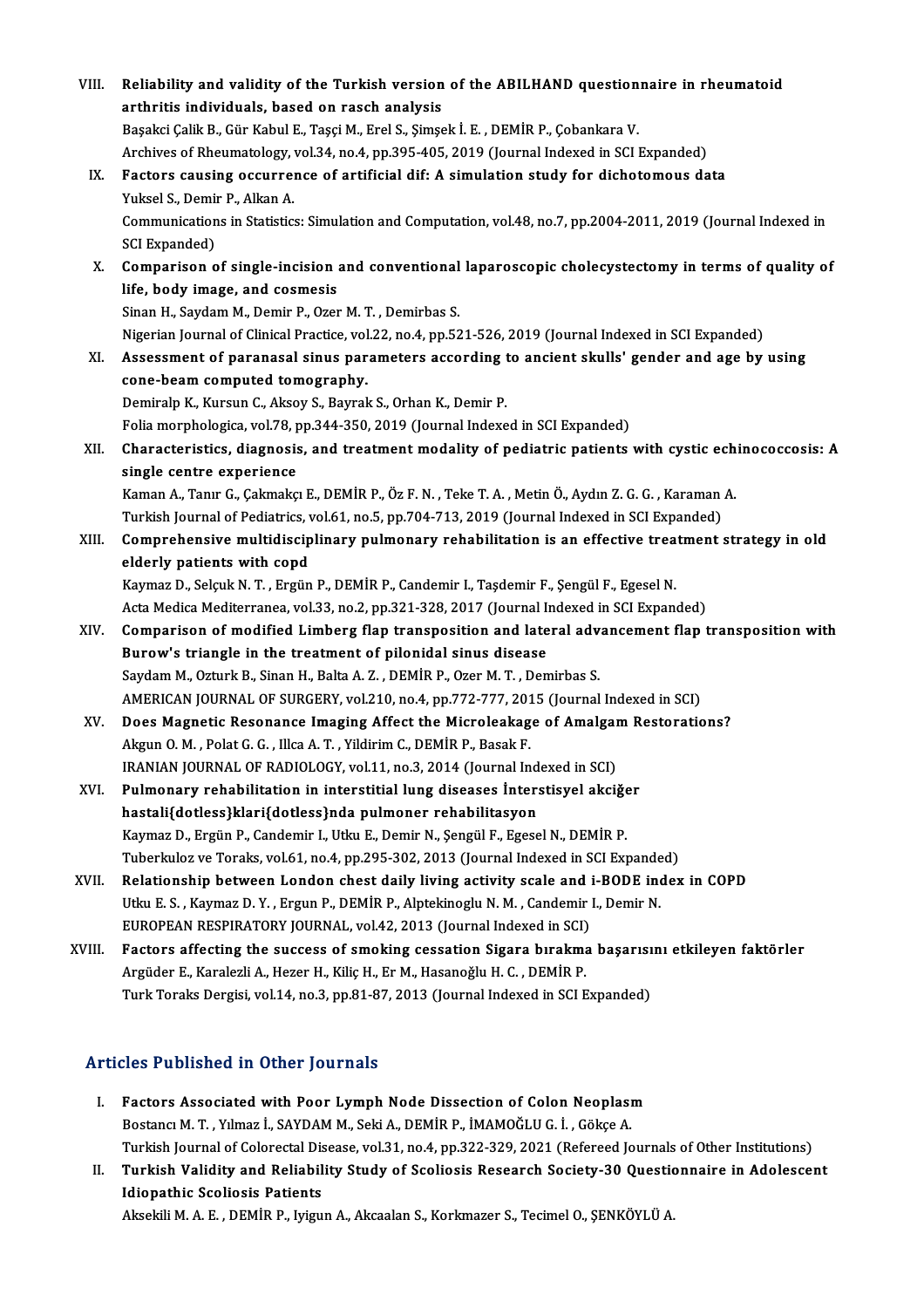| VIII.  | Reliability and validity of the Turkish version of the ABILHAND questionnaire in rheumatoid                    |
|--------|----------------------------------------------------------------------------------------------------------------|
|        | arthritis individuals, based on rasch analysis                                                                 |
|        | Başakci Çalik B., Gür Kabul E., Taşçi M., Erel S., Şimşek İ. E., DEMİR P., Çobankara V.                        |
|        | Archives of Rheumatology, vol.34, no.4, pp.395-405, 2019 (Journal Indexed in SCI Expanded)                     |
| IX.    | Factors causing occurrence of artificial dif: A simulation study for dichotomous data                          |
|        | Yuksel S., Demir P., Alkan A.                                                                                  |
|        | Communications in Statistics: Simulation and Computation, vol.48, no.7, pp.2004-2011, 2019 (Journal Indexed in |
|        | <b>SCI Expanded)</b>                                                                                           |
| X.     | Comparison of single-incision and conventional laparoscopic cholecystectomy in terms of quality of             |
|        | life, body image, and cosmesis                                                                                 |
|        | Sinan H., Saydam M., Demir P., Ozer M. T., Demirbas S.                                                         |
|        | Nigerian Journal of Clinical Practice, vol.22, no.4, pp.521-526, 2019 (Journal Indexed in SCI Expanded)        |
| XI.    | Assessment of paranasal sinus parameters according to ancient skulls' gender and age by using                  |
|        | cone-beam computed tomography.                                                                                 |
|        | Demiralp K., Kursun C., Aksoy S., Bayrak S., Orhan K., Demir P.                                                |
|        | Folia morphologica, vol.78, pp.344-350, 2019 (Journal Indexed in SCI Expanded)                                 |
| XII.   | Characteristics, diagnosis, and treatment modality of pediatric patients with cystic echinococcosis: A         |
|        | single centre experience                                                                                       |
|        | Kaman A., Tanır G., Çakmakçı E., DEMİR P., Öz F. N., Teke T. A., Metin Ö., Aydın Z. G. G., Karaman A.          |
|        | Turkish Journal of Pediatrics, vol.61, no.5, pp.704-713, 2019 (Journal Indexed in SCI Expanded)                |
| XIII.  | Comprehensive multidisciplinary pulmonary rehabilitation is an effective treatment strategy in old             |
|        | elderly patients with copd                                                                                     |
|        | Kaymaz D., Selçuk N. T., Ergün P., DEMİR P., Candemir I., Taşdemir F., Şengül F., Egesel N.                    |
|        | Acta Medica Mediterranea, vol.33, no.2, pp.321-328, 2017 (Journal Indexed in SCI Expanded)                     |
| XIV.   | Comparison of modified Limberg flap transposition and lateral advancement flap transposition with              |
|        | Burow's triangle in the treatment of pilonidal sinus disease                                                   |
|        | Saydam M., Ozturk B., Sinan H., Balta A. Z., DEMIR P., Ozer M. T., Demirbas S.                                 |
|        | AMERICAN JOURNAL OF SURGERY, vol.210, no.4, pp.772-777, 2015 (Journal Indexed in SCI)                          |
| XV.    | Does Magnetic Resonance Imaging Affect the Microleakage of Amalgam Restorations?                               |
|        | Akgun O. M., Polat G. G., Illca A. T., Yildirim C., DEMİR P., Basak F.                                         |
|        | IRANIAN JOURNAL OF RADIOLOGY, vol.11, no.3, 2014 (Journal Indexed in SCI)                                      |
| XVI.   | Pulmonary rehabilitation in interstitial lung diseases Interstisyel akciğer                                    |
|        | hastali{dotless}klari{dotless}nda pulmoner rehabilitasyon                                                      |
|        | Kaymaz D., Ergün P., Candemir I., Utku E., Demir N., Şengül F., Egesel N., DEMİR P.                            |
|        | Tuberkuloz ve Toraks, vol.61, no.4, pp.295-302, 2013 (Journal Indexed in SCI Expanded)                         |
| XVII.  | Relationship between London chest daily living activity scale and i-BODE index in COPD                         |
|        | Utku E. S., Kaymaz D. Y., Ergun P., DEMİR P., Alptekinoglu N. M., Candemir I., Demir N.                        |
|        | EUROPEAN RESPIRATORY JOURNAL, vol.42, 2013 (Journal Indexed in SCI)                                            |
| XVIII. | Factors affecting the success of smoking cessation Sigara bırakma başarısını etkileyen faktörler               |
|        | Argüder E., Karalezli A., Hezer H., Kiliç H., Er M., Hasanoğlu H. C., DEMİR P.                                 |
|        | Turk Toraks Dergisi, vol.14, no.3, pp.81-87, 2013 (Journal Indexed in SCI Expanded)                            |
|        |                                                                                                                |
|        |                                                                                                                |

### Articles Published in Other Journals

- I. Factors Associated with Poor Lymph Node Dissection of Colon Neoplasm Bostancı M. T., Yılmaz İ., SAYDAM M., Seki A., DEMİR P., İMAMOĞLU G. İ., Gökçe A. Turkish Journal of Colorectal Disease, vol.31, no.4, pp.322-329, 2021 (Refereed Journals of Other Institutions) Bostancı M. T. , Yılmaz İ., SAYDAM M., Seki A., DEMİR P., İMAMOĞLU G. İ. , Gökçe A.<br>Turkish Journal of Colorectal Disease, vol.31, no.4, pp.322-329, 2021 (Refereed Journals of Other Institutions)<br>II. Turkish Validity a
- Turkish Journal of Colorectal Dis<br>Turkish Validity and Reliabil<br>Idiopathic Scoliosis Patients<br>Alrelili M.A.E. DEMIR B. Jyizu Turkish Validity and Reliability Study of Scoliosis Research Society-30 Questid<br>Idiopathic Scoliosis Patients<br>Aksekili M. A. E. , DEMİR P., Iyigun A., Akcaalan S., Korkmazer S., Tecimel O., ŞENKÖYLÜ A.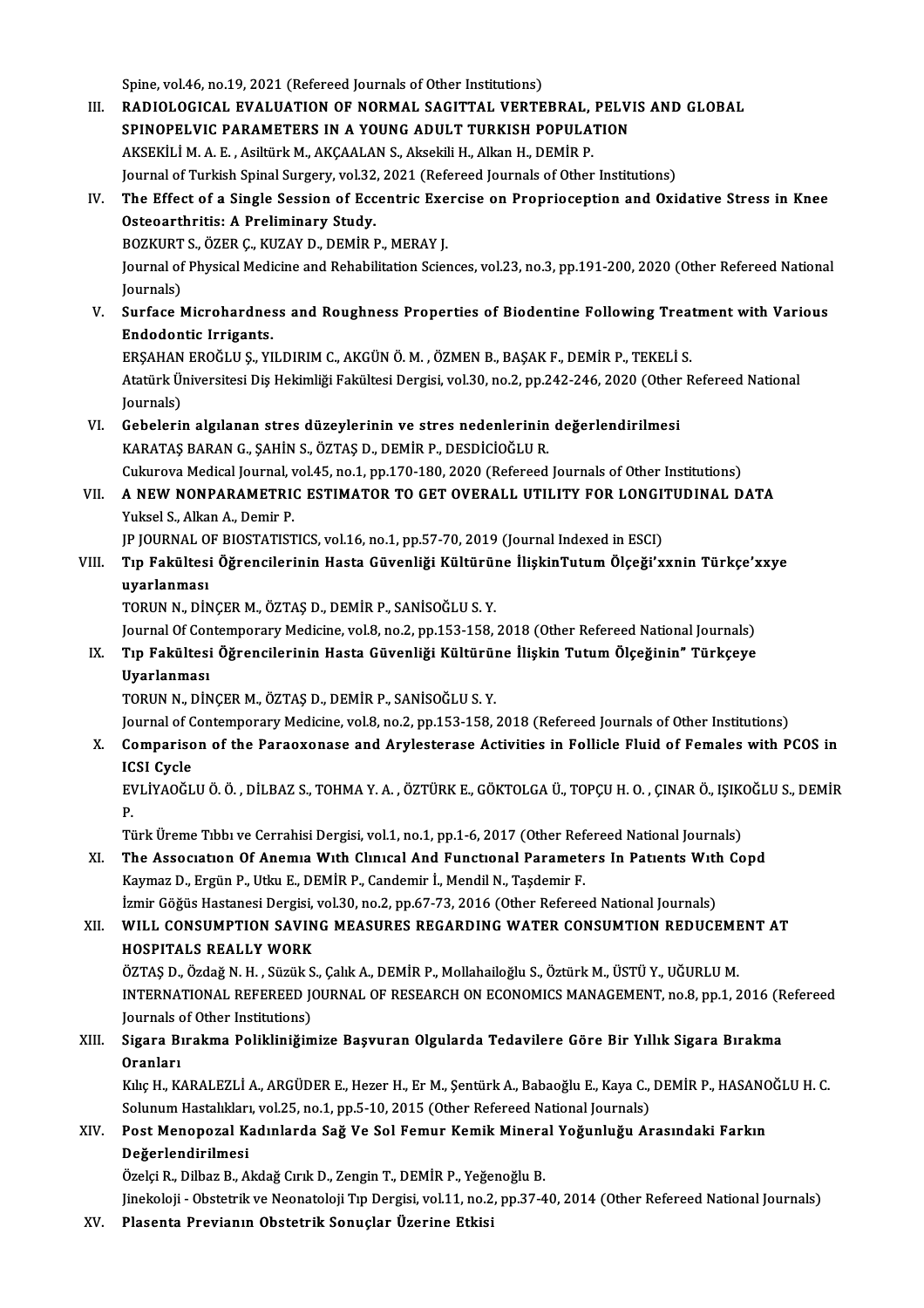Spine, vol.46, no.19, 2021 (Refereed Journals of Other Institutions)

Spine, vol.46, no.19, 2021 (Refereed Journals of Other Institutions)<br>III. RADIOLOGICAL EVALUATION OF NORMAL SAGITTAL VERTEBRAL, PELVIS AND GLOBAL<br>SPINORELVIC RARAMETERS IN A VOUNC ADULT TURKISH ROBILLATION Spine, vol.46, no.19, 2021 (Refereed Journals of Other Institutions)<br>RADIOLOGICAL EVALUATION OF NORMAL SAGITTAL VERTEBRAL, PELV<br>SPINOPELVIC PARAMETERS IN A YOUNG ADULT TURKISH POPULATION<br>AKSEKILLM A E - Asiltimk M-AKCAALAN RADIOLOGICAL EVALUATION OF NORMAL SAGITTAL VERTEBRAL,<br>SPINOPELVIC PARAMETERS IN A YOUNG ADULT TURKISH POPULA<sup>.</sup><br>AKSEKİLİ M. A. E. , Asiltürk M., AKÇAALAN S., Aksekili H., Alkan H., DEMİR P.<br>Journal of Turkish Spinal Surgar SPINOPELVIC PARAMETERS IN A YOUNG ADULT TURKISH POPULATION<br>AKSEKILI M. A. E. , Asiltürk M., AKÇAALAN S., Aksekili H., Alkan H., DEMIR P.<br>Journal of Turkish Spinal Surgery, vol.32, 2021 (Refereed Journals of Other Instituti AKSEKİLİ M. A. E. , Asiltürk M., AKÇAALAN S., Aksekili H., Alkan H., DEMİR P.<br>Journal of Turkish Spinal Surgery, vol.32, 2021 (Refereed Journals of Other Institutions)<br>IV. The Effect of a Single Session of Eccentric Exerci Osteoarthritis: A Preliminary Study.<br>BOZKURT S., ÖZER C., KUZAY D., DEMİR P., MERAY J. The Effect of a Single Session of Eccentric Exe<br>Osteoarthritis: A Preliminary Study.<br>BOZKURT S., ÖZER Ç., KUZAY D., DEMİR P., MERAY J.<br>Journal of Physical Medicine and Pehabilitation Scien Osteoarthritis: A Preliminary Study.<br>BOZKURT S., ÖZER Ç., KUZAY D., DEMİR P., MERAY J.<br>Journal of Physical Medicine and Rehabilitation Sciences, vol.23, no.3, pp.191-200, 2020 (Other Refereed National BOZKURT<br>Journal of<br>Journals)<br>Surface L Journal of Physical Medicine and Rehabilitation Sciences, vol.23, no.3, pp.191-200, 2020 (Other Refereed National<br>Journals)<br>V. Surface Microhardness and Roughness Properties of Biodentine Following Treatment with Various<br>F Journals)<br>Surface Microhardnes<br>Endodontic Irrigants.<br>ERSAHAN EROČLUS - VI Surface Microhardness and Roughness Properties of Biodentine Following Trea<br>Endodontic Irrigants.<br>ERŞAHAN EROĞLU Ş., YILDIRIM C., AKGÜN Ö. M. , ÖZMEN B., BAŞAK F., DEMİR P., TEKELİ S.<br>Atatürk Üniversitesi Dis Hekimliği Fek Endodontic Irrigants.<br>ERŞAHAN EROĞLU Ş., YILDIRIM C., AKGÜN Ö. M. , ÖZMEN B., BAŞAK F., DEMİR P., TEKELİ S.<br>Atatürk Üniversitesi Diş Hekimliği Fakültesi Dergisi, vol.30, no.2, pp.242-246, 2020 (Other Refereed National ERŞAHAN<br>Atatürk Ül<br>Journals)<br>Cebeleri Atatürk Üniversitesi Diş Hekimliği Fakültesi Dergisi, vol.30, no.2, pp.242-246, 2020 (Other<br>Journals)<br>VI. Gebelerin algılanan stres düzeylerinin ve stres nedenlerinin değerlendirilmesi<br>KARATAS BARANG, SAHİN S. ÖZTAS D. DEM Journals)<br>VI. Gebelerin algılanan stres düzeylerinin ve stres nedenlerinin değerlendirilmesi<br>KARATAŞ BARAN G., ŞAHİN S., ÖZTAŞ D., DEMİR P., DESDİCİOĞLU R. Cukurova Medical Journal, vol.45, no.1, pp.170-180, 2020 (Refereed Journals of Other Institutions) VII. A NEW NONPARAMETRIC ESTIMATOR TO GET OVERALL UTILITY FOR LONGITUDINAL DATA YukselS.,AlkanA.,Demir P. A NEW NONPARAMETRIC ESTIMATOR TO GET OVERALL UTILITY FOR LONGI<br>Yuksel S., Alkan A., Demir P.<br>JP JOURNAL OF BIOSTATISTICS, vol.16, no.1, pp.57-70, 2019 (Journal Indexed in ESCI)<br>T.n. Eakültesi Öğrengilerinin Hasta Cüyenliği VIII. Tıp Fakültesi Öğrencilerinin Hasta Güvenliği Kültürüne İlişkinTutum Ölçeği'xxnin Türkçe'xxye<br>uyarlanması JP JOURNAL O<br>Tıp Fakültesi<br>uyarlanması<br>TOPUN N. DİN TORUNN.,DİNÇERM.,ÖZTAŞD.,DEMİRP.,SANİSOĞLUS.Y. Journal Of Contemporary Medicine, vol.8, no.2, pp.153-158, 2018 (Other Refereed National Journals) TORUN N., DİNÇER M., ÖZTAŞ D., DEMİR P., SANİSOĞLU S. Y.<br>Journal Of Contemporary Medicine, vol.8, no.2, pp.153-158, 2018 (Other Refereed National Journals)<br>IX. Tıp Fakültesi Öğrencilerinin Hasta Güvenliği Kültürüne İlişkin Journal Of Con<br><mark>Tıp Fakültesi</mark><br>Uyarlanması<br>TOPUN N. DİN Uyarlanması<br>TORUN N., DİNÇER M., ÖZTAŞ D., DEMİR P., SANİSOĞLU S. Y. Uyarlanması<br>TORUN N., DİNÇER M., ÖZTAŞ D., DEMİR P., SANİSOĞLU S. Y.<br>Journal of Contemporary Medicine, vol.8, no.2, pp.153-158, 2018 (Refereed Journals of Other Institutions)<br>Comporison of the Borgovenese and Arylestorese X. Comparison of the Paraoxonase and Arylesterase Activities in Follicle Fluid of Females with PCOS in ICSI Cycle Journal of C<br>Compariso<br>ICSI Cycle<br>EVI İYAQČI Comparison of the Paraoxonase and Arylesterase Activities in Follicle Fluid of Females with PCOS in<br>ICSI Cycle<br>EVLİYAOĞLU Ö. Ö. , DİLBAZ S., TOHMA Y. A. , ÖZTÜRK E., GÖKTOLGA Ü., TOPÇU H. O. , ÇINAR Ö., IŞIKOĞLU S., DEMİR<br> IC<br>EV<br>T EVLİYAOĞLU Ö. Ö. , DİLBAZ S., TOHMA Y. A. , ÖZTÜRK E., GÖKTOLGA Ü., TOPÇU H. O. , ÇINAR Ö., IŞIK(<br>P.<br>Türk Üreme Tıbbı ve Cerrahisi Dergisi, vol.1, no.1, pp.1-6, 2017 (Other Refereed National Journals)<br>The Assessation Of An P.<br>Türk Üreme Tıbbı ve Cerrahisi Dergisi, vol.1, no.1, pp.1-6, 2017 (Other Refereed National Journals)<br>XI. The Association Of Anemia With Clinical And Functional Parameters In Patients With Copd<br>Kaymar D. Frgün B. Htlp Türk Üreme Tıbbı ve Cerrahisi Dergisi, vol.1, no.1, pp.1-6, 2017 (Other Refereed National Journals)<br>The Association Of Anemia With Clinical And Functional Parameters In Patients With Co<br>Kaymaz D., Ergün P., Utku E., DEMİR The Association Of Anemia With Clinical And Functional Parameters In Patients With<br>Kaymaz D., Ergün P., Utku E., DEMİR P., Candemir İ., Mendil N., Taşdemir F.<br>İzmir Göğüs Hastanesi Dergisi, vol.30, no.2, pp.67-73, 2016 (Ot Kaymaz D., Ergün P., Utku E., DEMİR P., Candemir İ., Mendil N., Taşdemir F.<br>İzmir Göğüs Hastanesi Dergisi, vol.30, no.2, pp.67-73, 2016 (Other Refereed National Journals)<br>XII. WILL CONSUMPTION SAVING MEASURES REGARDING İzmir Göğüs Hastanesi Dergisi,<br>WILL CONSUMPTION SAVIN<br>HOSPITALS REALLY WORK<br>ÖZTAS D. Özdəğ N.H. Süzük S WILL CONSUMPTION SAVING MEASURES REGARDING WATER CONSUMTION REDUCEME<br>HOSPITALS REALLY WORK<br>ÖZTAŞ D., Özdağ N. H. , Süzük S., Çalık A., DEMİR P., Mollahailoğlu S., Öztürk M., ÜSTÜ Y., UĞURLU M.<br>INTERNATIONAL REEEREED JOURNA HOSPITALS REALLY WORK<br>ÖZTAŞ D., Özdağ N. H. , Süzük S., Çalık A., DEMİR P., Mollahailoğlu S., Öztürk M., ÜSTÜ Y., UĞURLU M.<br>INTERNATIONAL REFEREED JOURNAL OF RESEARCH ON ECONOMICS MANAGEMENT, no.8, pp.1, 2016 (Refereed<br>Jou ÖZTAŞ D., Özdağ N. H. , Süzük S<br>INTERNATIONAL REFEREED J(<br>Journals of Other Institutions)<br>Sigara Burakma Balikliniğim INTERNATIONAL REFEREED JOURNAL OF RESEARCH ON ECONOMICS MANAGEMENT, no.8, pp.1, 2016 (R<br>Journals of Other Institutions)<br>XIII. Sigara Bırakma Polikliniğimize Başvuran Olgularda Tedavilere Göre Bir Yıllık Sigara Bırakma<br> Journals<br><mark>Sigara B</mark>i<br>Oranları<br>Kılıc Ha*V* Sigara Bırakma Polikliniğimize Başvuran Olgularda Tedavilere Göre Bir Yıllık Sigara Bırakma<br>Oranları<br>Kılıç H., KARALEZLİ A., ARGÜDER E., Hezer H., Er M., Şentürk A., Babaoğlu E., Kaya C., DEMİR P., HASANOĞLU H. C<br>Selynum H Oranları<br>Kılıç H., KARALEZLİ A., ARGÜDER E., Hezer H., Er M., Şentürk A., Babaoğlu E., Kaya C., DEMİR P., HASANOĞLU H. C Kılıç H., KARALEZLİ A., ARGÜDER E., Hezer H., Er M., Şentürk A., Babaoğlu E., Kaya C., DEMİR P., HASANC<br>Solunum Hastalıkları, vol.25, no.1, pp.5-10, 2015 (Other Refereed National Journals)<br>XIV. Post Menopozal Kadınlard Solunum Hastalıkları, vol.25, no.1, pp.5-10, 2015 (Other Refereed National Journals)<br>Post Menopozal Kadınlarda Sağ Ve Sol Femur Kemik Mineral Yoğunluğu Al<br>Değerlendirilmesi<br>Özelçi R., Dilbaz B., Akdağ Cırık D., Zengin T., Post Menopozal Kadınlarda Sağ Ve Sol Femur Kemik Minera<br>Değerlendirilmesi<br>Özelçi R., Dilbaz B., Akdağ Cırık D., Zengin T., DEMİR P., Yeğenoğlu B.<br>Jinekeleji, Obstatrik ve Neonatoleji Tın Dergisi vel 11 no 2 nn 27.4

Jinekoloji - Obstetrik ve Neonatoloji Tıp Dergisi, vol.11, no.2, pp.37-40, 2014 (Other Refereed National Journals)

XV. Plasenta Previanın Obstetrik Sonuçlar Üzerine Etkisi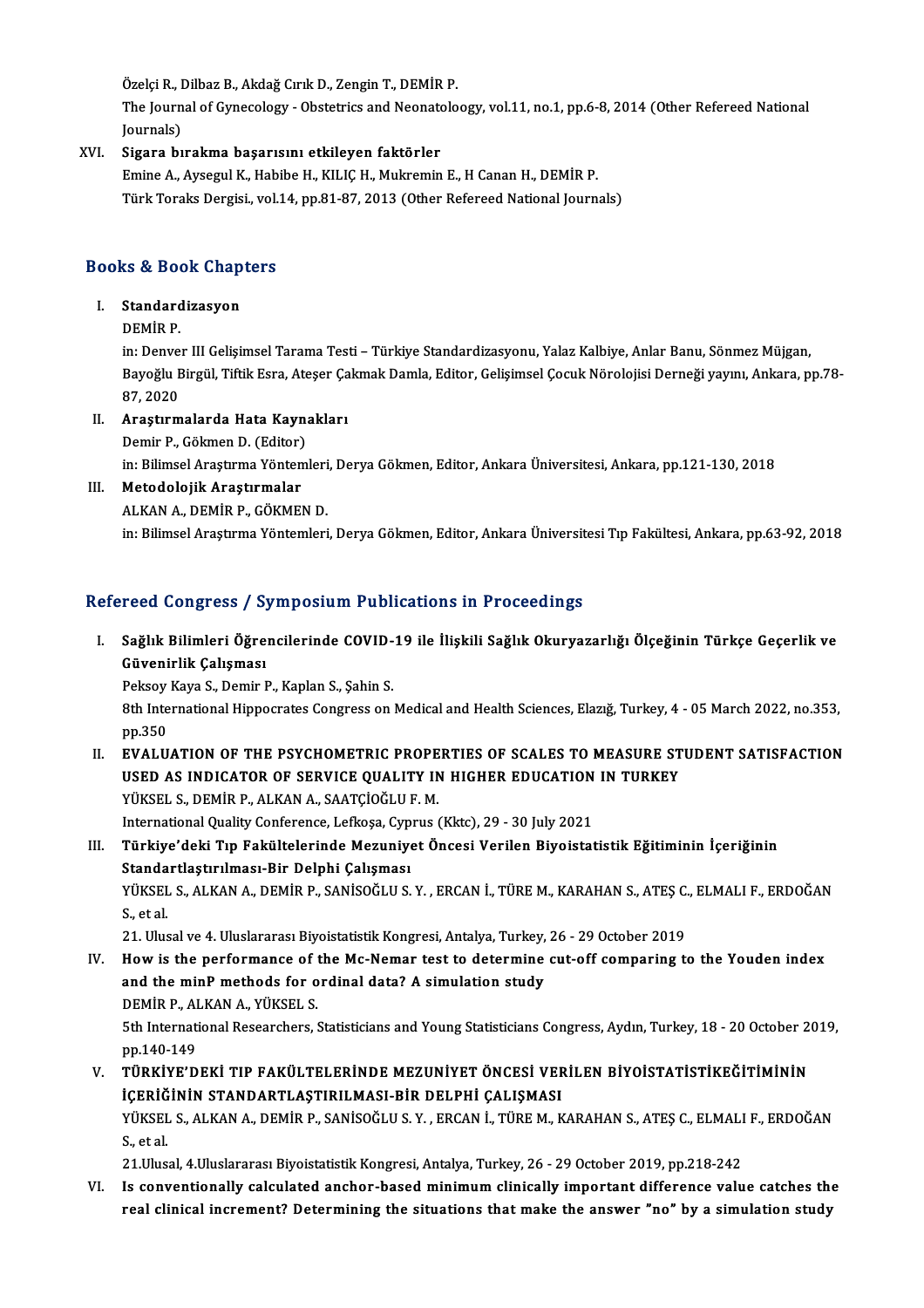Özelçi R., Dilbaz B., Akdağ Cırık D., Zengin T., DEMİR P.

Özelçi R., Dilbaz B., Akdağ Cırık D., Zengin T., DEMİR P.<br>The Journal of Gynecology - Obstetrics and Neonatoloogy, vol.11, no.1, pp.6-8, 2014 (Other Refereed National Özelçi R., I<br>The Journ<br>Journals)<br>Sigana bı

## XVI. Sigara bırakma başarısını etkileyen faktörler

Emine A., Aysegul K., Habibe H., KILIÇ H., Mukremin E., H Canan H., DEMİR P. Türk Toraks Dergisi, vol.14, pp.81-87, 2013 (Other Refereed National Journals)

# Turk Toraks Dergist, vol.<br>Books & Book Chapters ooks & Book Chap<br>I. Standardizasyon<br>DEMip P

### I. Standardizasyon<br>DEMİR P.

Standardizasyon<br>DEMİR P.<br>in: Denver III Gelişimsel Tarama Testi – Türkiye Standardizasyonu, Yalaz Kalbiye, Anlar Banu, Sönmez Müjgan,<br>Baveğlu Birgül, Tiftik Fare, Atasar Calmak Damla, Editan, Calisimaal Casuk Nörolajisi Da Bayoğlu Birgül, Tiftik Esra, Ateşer Çakmak Damla, Editor, Gelişimsel Çocuk Nörolojisi Derneği yayını, Ankara, pp.78-<br>87, 2020 in: Denver<br>Bayoğlu E<br>87, 2020<br>Arasturm Bayoğlu Birgül, Tiftik Esra, Ateşer Ça<br>87, 2020<br>II. Araştırmalarda Hata Kaynakları<br>Demir B. Gölmer D. (Editer) 87, 2020<br><mark>Araştırmalarda Hata Kayn</mark>:<br>Demir P., Gökmen D. (Editor)<br>in: Bilimeel Arestume Vöntem

Araştırmalarda Hata Kaynakları<br>Demir P., Gökmen D. (Editor)<br>in: Bilimsel Araştırma Yöntemleri, Derya Gökmen, Editor, Ankara Üniversitesi, Ankara, pp.121-130, 2018<br>Metadelejik, Anasturmalar in: Bilimsel Araştırma Yöntemleri<br>Metodolojik Araştırmalar<br>ALKAN A., DEMİR P., GÖKMEN D.<br>in: Bilimsel Arastırma Yöntemleri

# Demir P., Gökmen D. (Editor)<br>in: Bilimsel Araştırma Yönten<br>III. Metodolojik Araştırmalar<br>ALKAN A. DEMİR B. GÖKMEL

III. Metodolojik Araştırmalar<br>ALKAN A., DEMİR P., GÖKMEN D.<br>in: Bilimsel Araştırma Yöntemleri, Derya Gökmen, Editor, Ankara Üniversitesi Tıp Fakültesi, Ankara, pp.63-92, 2018

### Refereed Congress / Symposium Publications in Proceedings

efereed Congress / Symposium Publications in Proceedings<br>I. Sağlık Bilimleri Öğrencilerinde COVID-19 ile İlişkili Sağlık Okuryazarlığı Ölçeğinin Türkçe Geçerlik ve<br>Cüyeninlik Columney rood dongrood yog<br>Sağlık Bilimleri Öğre<br>Güvenirlik Çalışması Sağlık Bilimleri Öğrencilerinde COVID-<br>Güvenirlik Çalışması<br>Peksoy Kaya S., Demir P., Kaplan S., Şahin S.<br><sup>9th</sup> International Hinnesrates Consress on

6üvenirlik Çalışması<br>Peksoy Kaya S., Demir P., Kaplan S., Şahin S.<br>8th International Hippocrates Congress on Medical and Health Sciences, Elazığ, Turkey, 4 - 05 March 2022, no.353,<br>pp.350 Peksoy<br>8th Inte<br>pp.350<br>EVALU 8th International Hippocrates Congress on Medical and Health Sciences, Elazig, Turkey, 4 - 05 March 2022, no.353,<br>pp.350<br>II. EVALUATION OF THE PSYCHOMETRIC PROPERTIES OF SCALES TO MEASURE STUDENT SATISFACTION

pp.350<br>EVALUATION OF THE PSYCHOMETRIC PROPERTIES OF SCALES TO MEASURE ST<br>USED AS INDICATOR OF SERVICE QUALITY IN HIGHER EDUCATION IN TURKEY<br>VÜKSELS, DEMIR R.ALKANA, SAATCIOČLILE M USED AS INDICATOR OF SERVICE QUALITY IN HIGHER EDUCATION IN TURKEY YÜKSEL S., DEMİR P., ALKAN A., SAATÇİOĞLU F. M. USED AS INDICATOR OF SERVICE QUALITY IN HIGHER EDUCATION<br>YÜKSEL S., DEMİR P., ALKAN A., SAATÇİOĞLU F. M.<br>International Quality Conference, Lefkoşa, Cyprus (Kktc), 29 - 30 July 2021<br>Türkiye'deki Tın Eskültelerinde Meruniyet

III. Türkiye'deki Tıp Fakültelerinde Mezuniyet Öncesi Verilen Biyoistatistik Eğitiminin İçeriğinin Standartlaştırılması-Bir Delphi Çalışması International Quality Conference, Lefkoşa, Cyp<br>Türkiye'deki Tıp Fakültelerinde Mezuniye<br>Standartlaştırılması-Bir Delphi Çalışması<br>VÜKSEL S. ALKAN A. DEMİR R. SANİSOĞLU S. Türkiye'deki Tıp Fakültelerinde Mezuniyet Öncesi Verilen Biyoistatistik Eğitiminin İçeriğinin<br>Standartlaştırılması-Bir Delphi Çalışması<br>YÜKSEL S., ALKAN A., DEMİR P., SANİSOĞLU S. Y. , ERCAN İ., TÜRE M., KARAHAN S., ATEŞ C Standa<br>YÜKSEL<br>S., et al.<br>21. Uhv YÜKSEL S., ALKAN A., DEMİR P., SANİSOĞLU S. Y. , ERCAN İ., TÜRE M., KARAHAN S., ATEŞ C.<br>S., et al.<br>21. Ulusal ve 4. Uluslararası Biyoistatistik Kongresi, Antalya, Turkey, 26 - 29 October 2019<br>How is the performange of the

- S., et al.<br>21. Ulusal ve 4. Uluslararası Biyoistatistik Kongresi, Antalya, Turkey, 26 29 October 2019<br>IV. How is the performance of the Mc-Nemar test to determine cut-off comparing to the Youden index<br>and the minP mathod 21. Ulusal ve 4. Uluslararası Biyoistatistik Kongresi, Antalya, Turkey,<br>How is the performance of the Mc-Nemar test to determine<br>and the minP methods for ordinal data? A simulation study<br>DEMIP B ALKAN A VÜKELLS How is the performance of t<br>and the minP methods for o<br>DEMİR P., ALKAN A., YÜKSEL S.<br>Eth International Beseensberg i and the minP methods for ordinal data? A simulation study<br>DEMİR P., ALKAN A., YÜKSEL S.<br>5th International Researchers, Statisticians and Young Statisticians Congress, Aydın, Turkey, 18 - 20 October 2019,<br>nn 140 149 **DEMIR P., Al<br>5th Internati<br>pp.140-149<br>Tüp vive'n** 5th International Researchers, Statisticians and Young Statisticians Congress, Aydın, Turkey, 18 - 20 October 2<br>pp.140-149<br>V. TÜRKİYE'DEKİ TIP FAKÜLTELERİNDE MEZUNİYET ÖNCESİ VERİLEN BİYOİSTATİSTİKEĞİTİMİNİN<br>İCERIĞİNİN STA
- pp.140-149<br>TÜRKİYE'DEKİ TIP FAKÜLTELERİNDE MEZUNİYET ÖNCESİ VEF<br>İÇERİĞİNİN STANDARTLAŞTIRILMASI-BİR DELPHİ ÇALIŞMASI<br>YÜKSEL S. ALKANA, DEMİR R. SANİSQĞLUS V., ERÇAN İ. TÜRE M. K TÜRKİYE'DEKİ TIP FAKÜLTELERİNDE MEZUNİYET ÖNCESİ VERİLEN BİYOİSTATİSTİKEĞİTİMİNİN<br>İÇERİĞİNİN STANDARTLAŞTIRILMASI-BİR DELPHİ ÇALIŞMASI<br>YÜKSEL S., ALKAN A., DEMİR P., SANİSOĞLU S. Y. , ERCAN İ., TÜRE M., KARAHAN S., ATEŞ C. <mark>iÇERİĞ</mark><br>YÜKSEL<br>S., et al. YÜKSEL S., ALKAN A., DEMİR P., SANİSOĞLU S. Y. , ERCAN İ., TÜRE M., KARAHAN S., ATEŞ C., ELMALI<br>S., et al.<br>21.Ulusal, 4.Uluslararası Biyoistatistik Kongresi, Antalya, Turkey, 26 - 29 October 2019, pp.218-242<br>Is eanyantiana

S., et al.<br>21.Ulusal, 4.Uluslararası Biyoistatistik Kongresi, Antalya, Turkey, 26 - 29 October 2019, pp.218-242<br>21. Is conventionally calculated anchor-based minimum clinically important difference value catches the<br>2014 I 21.Ulusal, 4.Uluslararası Biyoistatistik Kongresi, Antalya, Turkey, 26 - 29 October 2019, pp.218-242<br>Is conventionally calculated anchor-based minimum clinically important difference value catches th<br>real clinical incremen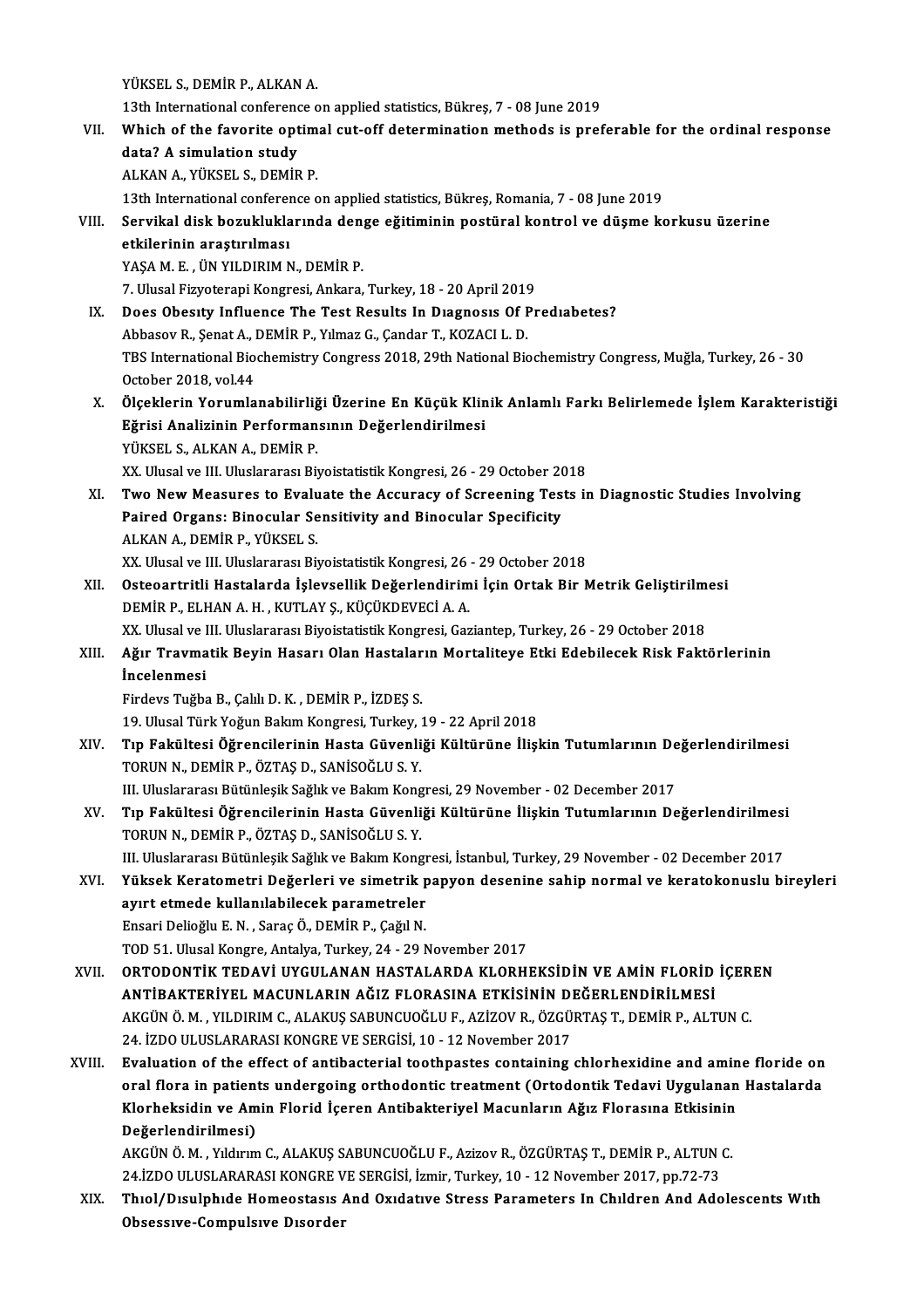YÜKSEL S., DEMİR P., ALKAN A.

- 13th International conference onapplied statistics,Bükreş,7 -08 June 2019 YÜKSEL S., DEMİR P., ALKAN A.<br>13th International conference on applied statistics, Bükreş, 7 - 08 June 2019<br>VII. Which of the favorite optimal cut-off determination methods is preferable for the ordinal response<br>data? A si 13th International conference<br>Which of the favorite opt<br>data? A simulation study Which of the favorite optim<br>data? A simulation study<br>ALKAN A., YÜKSEL S., DEMİR P.<br>12th International conference o 13th International conference on applied statistics, Bükreş, Romania, 7 - 08 June 2019<br>13th International conference on applied statistics, Bükreş, Romania, 7 - 08 June 2019 ALKAN A., YÜKSEL S., DEMİR P.<br>13th International conference on applied statistics, Bükreş, Romania, 7 - 08 June 2019<br>VIII. Servikal disk bozukluklarında denge eğitiminin postüral kontrol ve düşme korkusu üzerine<br>etkile 13th International conferer<br>Servikal disk bozuklukla<br>etkilerinin araştırılması<br>YASA M E - ÜN VU DIPIMA Servikal disk bozukluklarında den<br>etkilerinin araştırılması<br>YAŞA M. E., ÜN YILDIRIM N., DEMİR P.<br>7. Illusel Einvetereni Kongresi, Ankara etkilerinin araştırılması<br>YAŞA M. E. , ÜN YILDIRIM N., DEMİR P.<br>7. Ulusal Fizyoterapi Kongresi, Ankara, Turkey, 18 - 20 April 2019<br>Dess Obesuty Influence The Test Besults In Diesnesis Of Br YAŞA M. E. , ÜN YILDIRIM N., DEMİR P.<br>7. Ulusal Fizyoterapi Kongresi, Ankara, Turkey, 18 - 20 April 2019<br>IX. Does Obesity Influence The Test Results In Diagnosis Of Prediabetes?<br>Abbasov R., Senat A., DEMİR P., Yılmaz G 7. Ulusal Fizyoterapi Kongresi, Ankara, Turkey, 18 - 20 April 2019<br>Does Obesity Influence The Test Results In Diagnosis Of F<br>Abbasov R., Şenat A., DEMİR P., Yılmaz G., Çandar T., KOZACI L. D.<br>TPS International Biochemistry Does Obesity Influence The Test Results In Diagnosis Of Prediabetes?<br>Abbasov R., Şenat A., DEMİR P., Yılmaz G., Çandar T., KOZACI L. D.<br>TBS International Biochemistry Congress 2018, 29th National Biochemistry Congress, Muğ Abbasov R., Şenat A., l<br>TBS International Bio<br>October 2018, vol.44<br>Ölsəklərin Yorumla TBS International Biochemistry Congress 2018, 29th National Biochemistry Congress, Muğla, Turkey, 26 - 30<br>October 2018, vol.44<br>X. Ölçeklerin Yorumlanabilirliği Üzerine En Küçük Klinik Anlamlı Farkı Belirlemede İşlem Karakt October 2018, vol.44<br>Ölçeklerin Yorumlanabilirliği Üzerine En Küçük Klin<br>Eğrisi Analizinin Performansının Değerlendirilmesi<br>YÜKSEL S. ALKAN A. DEMİR R Ölçeklerin Yorumlanabilirliğ<br>Eğrisi Analizinin Performan<br>YÜKSEL S., ALKAN A., DEMİR P.<br>YY Husal ve III Huslararası Bu Eğrisi Analizinin Performansının Değerlendirilmesi<br>XÜKSEL S., ALKAN A., DEMİR P.<br>XX. Ulusal ve III. Uluslararası Biyoistatistik Kongresi, 26 - 29 October 2018 YÜKSEL S., ALKAN A., DEMİR P.<br>XX. Ulusal ve III. Uluslararası Biyoistatistik Kongresi, 26 - 29 October 2018<br>XI. Two New Measures to Evaluate the Accuracy of Screening Tests in Diagnostic Studies Involving<br>Rained Oxsans XX. Ulusal ve III. Uluslararası Biyoistatistik Kongresi, 26 - 29 October 2(<br>Two New Measures to Evaluate the Accuracy of Screening Tes<br>Paired Organs: Binocular Sensitivity and Binocular Specificity<br>ALKAN A. DEMIR R. VÜKSEL Two New Measures to Evalu<br>Paired Organs: Binocular Se<br>ALKAN A., DEMİR P., YÜKSEL S.<br>YY Hlusel ve III Hluslararası Bu Paired Organs: Binocular Sensitivity and Binocular Specificity<br>ALKAN A., DEMİR P., YÜKSEL S.<br>XX. Ulusal ve III. Uluslararası Biyoistatistik Kongresi, 26 - 29 October 2018 ALKAN A., DEMİR P., YÜKSEL S.<br>XX. Ulusal ve III. Uluslararası Biyoistatistik Kongresi, 26 - 29 October 2018<br>XII. Osteoartritli Hastalarda İşlevsellik Değerlendirimi İçin Ortak Bir Metrik Geliştirilmesi<br>DEMİR R ELHAN A XX. Ulusal ve III. Uluslararası Biyoistatistik Kongresi, 26<br>Osteoartritli Hastalarda İşlevsellik Değerlendirim<br>DEMİR P., ELHAN A. H. , KUTLAY Ş., KÜÇÜKDEVECİ A. A.<br>YY. Ulusal ve III. Uluslararası Biyoistatistik Kongresi, C Osteoartritli Hastalarda İşlevsellik Değerlendirimi İçin Ortak Bir Metrik Geliştirilm<br>DEMİR P., ELHAN A. H. , KUTLAY Ş., KÜÇÜKDEVECİ A. A.<br>XX. Ulusal ve III. Uluslararası Biyoistatistik Kongresi, Gaziantep, Turkey, 26 - 29 DEMİR P., ELHAN A. H. , KUTLAY Ş., KÜÇÜKDEVECİ A. A.<br>XX. Ulusal ve III. Uluslararası Biyoistatistik Kongresi, Gaziantep, Turkey, 26 - 29 October 2018<br>XIII. Ağır Travmatik Beyin Hasarı Olan Hastaların Mortaliteye Etki E XX. Ulusal ve l<br><mark>Ağır Travma</mark><br>İncelenmesi<br><sup>Findove Tuğbe</sub></sup> Ağır Travmatik Beyin Hasarı Olan Hastalar<br>İncelenmesi<br>Firdevs Tuğba B., Çalılı D. K. , DEMİR P., İZDEŞ S.<br>19 Hlugal Türk Voğun Balam Kongresi Turkey 1 İncelenmesi<br>Firdevs Tuğba B., Çalılı D. K. , DEMİR P., İZDEŞ S.<br>19. Ulusal Türk Yoğun Bakım Kongresi, Turkey, 19 - 22 April 2018<br>Tın Fokültesi Öğrengilerinin Hasta Güyenliği Kültürüne İlisl Firdevs Tuğba B., Çalılı D. K. , DEMİR P., İZDEŞ S.<br>19. Ulusal Türk Yoğun Bakım Kongresi, Turkey, 19 - 22 April 2018<br>XIV. Tıp Fakültesi Öğrencilerinin Hasta Güvenliği Kültürüne İlişkin Tutumlarının Değerlendirilmesi<br>TO 19. Ulusal Türk Yoğun Bakım Kongresi, Turkey, 1<br>Tıp Fakültesi Öğrencilerinin Hasta Güvenli<br>TORUN N., DEMİR P., ÖZTAŞ D., SANİSOĞLU S. Y.<br>III Hluskararası Bütünkesil: Sağlık ve Balum Kons Tıp Fakültesi Öğrencilerinin Hasta Güvenliği Kültürüne İlişkin Tutumlarının De<br>TORUN N., DEMİR P., ÖZTAŞ D., SANİSOĞLU S. Y.<br>III. Uluslararası Bütünleşik Sağlık ve Bakım Kongresi, 29 November - 02 December 2017<br>Tın Fakülte TORUN N., DEMİR P., ÖZTAŞ D., SANİSOĞLU S. Y.<br>III. Uluslararası Bütünleşik Sağlık ve Bakım Kongresi, 29 November - 02 December 2017<br>XV. Tıp Fakültesi Öğrencilerinin Hasta Güvenliği Kültürüne İlişkin Tutumlarının Değerl III. Uluslararası Bütünleşik Sağlık ve Bakım Kong<br>Tıp Fakültesi Öğrencilerinin Hasta Güvenli<br>TORUN N., DEMİR P., ÖZTAŞ D., SANİSOĞLU S.Y.<br>III. Uluslararası Bütünlesil: Sağlık ve Balum Kong Tıp Fakültesi Öğrencilerinin Hasta Güvenliği Kültürüne İlişkin Tutumlarının Değerlendirilmesi<br>TORUN N., DEMİR P., ÖZTAŞ D., SANİSOĞLU S. Y.<br>III. Uluslararası Bütünleşik Sağlık ve Bakım Kongresi, İstanbul, Turkey, 29 Novemb TORUN N., DEMİR P., ÖZTAŞ D., SANİSOĞLU S. Y.<br>III. Uluslararası Bütünleşik Sağlık ve Bakım Kongresi, İstanbul, Turkey, 29 November - 02 December 2017<br>XVI. Yüksek Keratometri Değerleri ve simetrik papyon desenine sahip III. Uluslararası Bütünleşik Sağlık ve Bakım Kongresi, İstanbul, Turkey, 29 November - 02 December 2017 EnsariDelioğluE.N. ,SaraçÖ.,DEMİRP.,ÇağılN. TOD51.UlusalKongre,Antalya,Turkey,24 -29November 2017 XVII. ORTODONTİK TEDAVİ UYGULANAN HASTALARDA KLORHEKSİDİN VE AMİN FLORİD İÇEREN TOD 51. Ulusal Kongre, Antalya, Turkey, 24 - 29 November 2017<br>ORTODONTİK TEDAVİ UYGULANAN HASTALARDA KLORHEKSİDİN VE AMİN FLORİD<br>AKÇÜNÖ MAXILDIRIM GALAKUS SARUNCUQĞLU ELAZİZOV BAÖZGÜRTAS TADEMIR BALT ORTODONTİK TEDAVİ UYGULANAN HASTALARDA KLORHEKSİDİN VE AMİN FLORİD İÇER<br>ANTİBAKTERİYEL MACUNLARIN AĞIZ FLORASINA ETKİSİNİN DEĞERLENDİRİLMESİ<br>AKGÜN Ö. M. , YILDIRIM C., ALAKUŞ SABUNCUOĞLU F., AZİZOV R., ÖZGÜRTAŞ T., DEMİR P ANTİBAKTERİYEL MACUNLARIN AĞIZ FLORASINA ETKİSİNİN DI<br>AKGÜN Ö. M. , YILDIRIM C., ALAKUŞ SABUNCUOĞLU F., AZİZOV R., ÖZGÜ<br>24. İZDO ULUSLARARASI KONGRE VE SERGİSİ, 10 - 12 November 2017<br>Fualustion of the effect of antihecteri AKGÜN Ö. M., YILDIRIM C., ALAKUŞ SABUNCUOĞLU F., AZİZOV R., ÖZGÜRTAŞ T., DEMİR P., ALTUN C.<br>24. İZDO ULUSLARARASI KONGRE VE SERGİSİ, 10 - 12 November 2017<br>XVIII. Byaluation of the effect of antibacterial toothpastes contai 24. İZDO ULUSLARARASI KONGRE VE SERGİSİ, 10 - 12 November 2017<br>Evaluation of the effect of antibacterial toothpastes containing chlorhexidine and amine floride on<br>oral flora in patients undergoing orthodontic treatment (Or Evaluation of the effect of antibacterial toothpastes containing chlorhexidine and amin<br>oral flora in patients undergoing orthodontic treatment (Ortodontik Tedavi Uygulanan<br>Klorheksidin ve Amin Florid İçeren Antibakteriyel oral flora in patients undergoing orthodontic treatment (Ortodontik Tedavi Uygulanan Hastalarda<br>Klorheksidin ve Amin Florid İçeren Antibakteriyel Macunların Ağız Florasına Etkisinin<br>Değerlendirilmesi) Klorheksidin ve Amin Florid İçeren Antibakteriyel Macunların Ağız Florasına Etkisinin<br>Değerlendirilmesi)<br>AKGÜN Ö. M. , Yıldırım C., ALAKUŞ SABUNCUOĞLU F., Azizov R., ÖZGÜRTAŞ T., DEMİR P., ALTUN C.<br>24 İZDO ULUSLARARASI KON Değerlendirilmesi)<br>AKGÜN Ö. M. , Yıldırım C., ALAKUŞ SABUNCUOĞLU F., Azizov R., ÖZGÜRTAŞ T., DEMİR P., ALTUN (<br>24.İZDO ULUSLARARASI KONGRE VE SERGİSİ, İzmir, Turkey, 10 - 12 November 2017, pp.72-73<br>Thiel (Disulphide Hemees AKGÜN Ö. M. , Yıldırım C., ALAKUŞ SABUNCUOĞLU F., Azizov R., ÖZGÜRTAŞ T., DEMİR P., ALTUN C.<br>24.İZDO ULUSLARARASI KONGRE VE SERGİSİ, İzmir, Turkey, 10 - 12 November 2017, pp.72-73<br>XIX. Thıol/Dısulphıde Homeostasıs And
	- 24.İZDO ULUSLARARASI KONGRE VE SERGİSİ, İzmir, Turkey, 10 12 November 2017, pp.72-73<br>Thiol/Disulphide Homeostasis And Oxidative Stress Parameters In Children And Adolescents With<br>Obsessive-Compulsive Disorder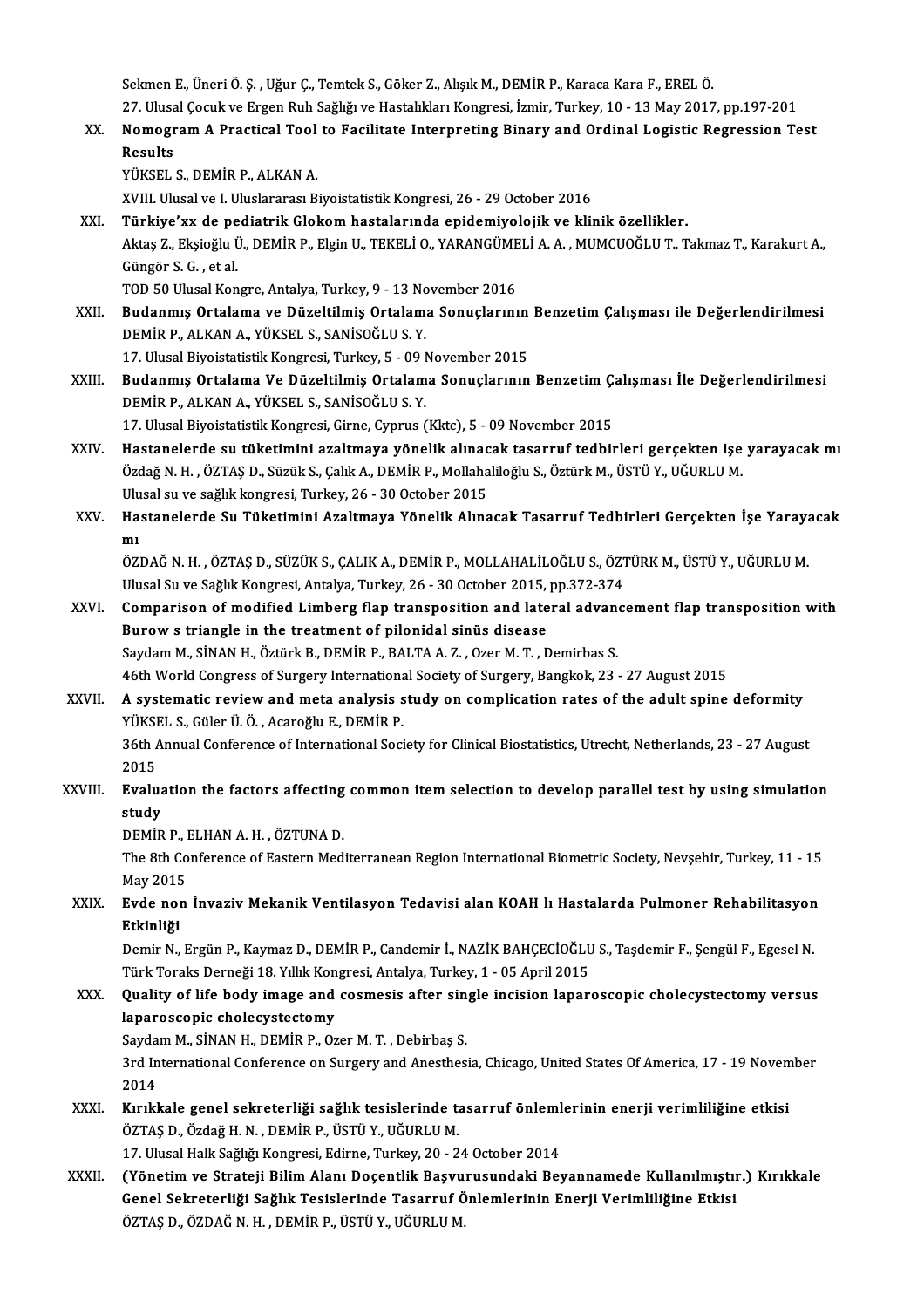Sekmen E., Üneri Ö. Ş. , Uğur Ç., Temtek S., Göker Z., Alışık M., DEMİR P., Karaca Kara F., EREL Ö.<br>27. Ulucal Casult ve Exsan Pub Sağlığı ve Hastalıkları Kansussi, İsmir, Turkay, 10, .13 May 2017 Sekmen E., Üneri Ö. Ş. , Uğur Ç., Temtek S., Göker Z., Alışık M., DEMİR P., Karaca Kara F., EREL Ö.<br>27. Ulusal Çocuk ve Ergen Ruh Sağlığı ve Hastalıkları Kongresi, İzmir, Turkey, 10 - 13 May 2017, pp.197-201<br>Namagyam A. Pr 27. Ulusal Çocuk ve Ergen Ruh Sağlığı ve Hastalıkları Kongresi, İzmir, Turkey, 10 - 13 May 2017, pp.197-201

XX. NomogramA Practical Tool to Facilitate Interpreting Binary and Ordinal Logistic Regression Test

YÜKSEL S., DEMİR P., ALKAN A.

XVIII. Ulusal ve I. Uluslararası Biyoistatistik Kongresi, 26 - 29 October 2016

XÜKSEL S., DEMİR P., ALKAN A.<br>XVIII. Ulusal ve I. Uluslararası Biyoistatistik Kongresi, 26 - 29 October 2016<br>XXI. Türkiye'xx de pediatrik Glokom hastalarında epidemiyolojik ve klinik özellikler.<br>Altas Z. Eksisğlu ü. DEMİR Aktaş Z., Ekşioğlu Ü., DEMİR P., Elgin U., TEKELİ O., YARANGÜMELİ A. A. , MUMCUOĞLU T., Takmaz T., Karakurt A.,<br>Güngör S. G. , et al. **Türkiye'xx de pe<br>Aktaş Z., Ekşioğlu Ü**<br>Güngör S. G. , et al.<br>TOD 50 Ulusal Kan Güngör S. G. , et al.<br>TOD 50 Ulusal Kongre, Antalya, Turkey, 9 - 13 November 2016<br>XXII. Budanmış Ortalama ve Düzeltilmiş Ortalama Sonuçlarının Benzetim Çalışması ile Değerlendirilmesi<br>DEMİR R. ALKAN A. VÜKSEL S. SANİSO

TOD 50 Ulusal Kongre, Antalya, Turkey, 9 - 13 November 2016

TOD 50 Ulusal Kongre, Antalya, Turkey, 9 - 13 No<br>Budanmış Ortalama ve Düzeltilmiş Ortalam<br>DEMİR P., ALKAN A., YÜKSEL S., SANİSOĞLU S. Y.<br>17 Ulusal Biyoistatistik Kongresi Turkey 5 - 00 i Budanmış Ortalama ve Düzeltilmiş Ortalama Sonuçlarının<br>DEMİR P., ALKAN A., YÜKSEL S., SANİSOĞLU S. Y.<br>17. Ulusal Biyoistatistik Kongresi, Turkey, 5 - 09 November 2015<br>Budanmış Ortalama Ve Düzeltilmiş Ortalama Sonuslarının

DEMİR P., ALKAN A., YÜKSEL S., SANİSOĞLU S. Y.<br>17. Ulusal Biyoistatistik Kongresi, Turkey, 5 - 09 November 2015<br>XXIII. Budanmış Ortalama Ve Düzeltilmiş Ortalama Sonuçlarının Benzetim Çalışması İle Değerlendirilmesi<br>DEMİR R 17. Ulusal Biyoistatistik Kongresi, Turkey, 5 - 09 l<br>Budanmış Ortalama Ve Düzeltilmiş Ortalam<br>DEMİR P., ALKAN A., YÜKSEL S., SANİSOĞLU S. Y.<br>17. Ulusal Biyoistatistik Kongresi, Girne, Gimrus ( Budanmış Ortalama Ve Düzeltilmiş Ortalama Sonuçlarının Benzetim Ç:<br>DEMİR P., ALKAN A., YÜKSEL S., SANİSOĞLU S. Y.<br>17. Ulusal Biyoistatistik Kongresi, Girne, Cyprus (Kktc), 5 - 09 November 2015<br>Hastanalarda su tükatimini ar

- DEMİR P., ALKAN A., YÜKSEL S., SANİSOĞLU S. Y.<br>17. Ulusal Biyoistatistik Kongresi, Girne, Cyprus (Kktc), 5 09 November 2015<br>XXIV. Hastanelerde su tüketimini azaltmaya yönelik alınacak tasarruf tedbirleri gerçekten iş 17. Ulusal Biyoistatistik Kongresi, Girne, Cyprus (Kktc), 5 - 09 November 2015<br>Hastanelerde su tüketimini azaltmaya yönelik alınacak tasarruf tedbirleri gerçekten işe<br>Özdağ N. H. , ÖZTAŞ D., Süzük S., Çalık A., DEMİR P., M Hastanelerde su tüketimini azaltmaya yönelik alınac<br>Özdağ N. H. , ÖZTAŞ D., Süzük S., Çalık A., DEMİR P., Mollaha<br>Ulusal su ve sağlık kongresi, Turkey, 26 - 30 October 2015<br>Hastanelerde Su Tüketimini Azaltmaya Yönelik Alın Özdağ N. H. , ÖZTAŞ D., Süzük S., Çalık A., DEMİR P., Mollahaliloğlu S., Öztürk M., ÜSTÜ Y., UĞURLU M.<br>Ulusal su ve sağlık kongresi, Turkey, 26 - 30 October 2015<br>XXV. Hastanelerde Su Tüketimini Azaltmaya Yönelik Alınac
- Ulu<br>Ha<br>mı Hastanelerde Su Tüketimini Azaltmaya Yönelik Alınacak Tasarruf Tedbirleri Gerçekten İşe Yaraya<br>mı<br>ÖZDAĞ N. H. , ÖZTAŞ D., SÜZÜK S., ÇALIK A., DEMİR P., MOLLAHALİLOĞLU S., ÖZTÜRK M., ÜSTÜ Y., UĞURLU M.<br>Ulucal Su ve Sağlık K

mı<br>ÖZDAĞ N. H. , ÖZTAŞ D., SÜZÜK S., ÇALIK A., DEMİR P., MOLLAHALİLOĞLU S., ÖZT<br>Ulusal Su ve Sağlık Kongresi, Antalya, Turkey, 26 - 30 October 2015, pp.372-374<br>Comparison of modified Limberg flan transposition and lateral ÖZDAĞ N. H. , ÖZTAŞ D., SÜZÜK S., ÇALIK A., DEMİR P., MOLLAHALİLOĞLU S., ÖZTÜRK M., ÜSTÜ Y., UĞURLU M.<br>Ulusal Su ve Sağlık Kongresi, Antalya, Turkey, 26 - 30 October 2015, pp.372-374<br>XXVI. Comparison of modified Limberg fl

- Ulusal Su ve Sağlık Kongresi, Antalya, Turkey, 26 30 October 2015,<br>Comparison of modified Limberg flap transposition and late<br>Burow s triangle in the treatment of pilonidal sinüs disease<br>Saydam M. SİNAN H. Östürk P. DEMİ Comparison of modified Limberg flap transposition and lateral advane<br>Burow s triangle in the treatment of pilonidal sinüs disease<br>Saydam M., SİNAN H., Öztürk B., DEMİR P., BALTA A. Z. , Ozer M. T. , Demirbas S.<br>46th World Burow s triangle in the treatment of pilonidal sinüs disease<br>Saydam M., SİNAN H., Öztürk B., DEMİR P., BALTA A. Z. , Ozer M. T. , Demirbas S.<br>46th World Congress of Surgery International Society of Surgery, Bangkok, 23 - 2 Saydam M., SİNAN H., Öztürk B., DEMİR P., BALTA A. Z. , Ozer M. T. , Demirbas S.<br>46th World Congress of Surgery International Society of Surgery, Bangkok, 23 - 27 August 2015<br>XXVII. A systematic review and meta analysis st
- 46th World Congress of Surgery Internations<br>A systematic review and meta analysis s<br>YÜKSEL S., Güler Ü. Ö. , Acaroğlu E., DEMİR P.<br>26th Annual Conference of International Seci A systematic review and meta analysis study on complication rates of the adult spine deformity<br>YÜKSEL S., Güler Ü. Ö. , Acaroğlu E., DEMİR P.<br>36th Annual Conference of International Society for Clinical Biostatistics, Utre YÜKSI<br>36th /<br>2015<br>Evalu
- 36th Annual Conference of International Society for Clinical Biostatistics, Utrecht, Netherlands, 23 27 August<br>2015<br>XXVIII. Evaluation the factors affecting common item selection to develop parallel test by using simulat 2015<br>Evalua<br>study<br>DEMIP Evaluation the factors affecting<br>study<br>DEMİR P., ELHAN A. H. , ÖZTUNA D.<br>The <sup>9th</sup> Corference of Festern Med

study<br>DEMİR P., ELHAN A. H. , ÖZTUNA D.<br>The 8th Conference of Eastern Mediterranean Region International Biometric Society, Nevşehir, Turkey, 11 - 15<br>May 2015 DEMIR P., I<br>The 8th Co<br>May 2015<br>Eude non The 8th Conference of Eastern Mediterranean Region International Biometric Society, Nevşehir, Turkey, 11 - 15<br>May 2015<br>XXIX. Evde non İnvaziv Mekanik Ventilasyon Tedavisi alan KOAH lı Hastalarda Pulmoner Rehabilitasyon<br>Etk

May 2015<br><mark>Evde no</mark>l<br>Etkinliği<br>Demir N Evde non İnvaziv Mekanik Ventilasyon Tedavisi alan KOAH lı Hastalarda Pulmoner Rehabilitasyon<br>Etkinliği<br>Demir N., Ergün P., Kaymaz D., DEMİR P., Candemir İ., NAZİK BAHÇECİOĞLU S., Taşdemir F., Şengül F., Egesel N.<br>Türk Tor

Etkinliği<br>Demir N., Ergün P., Kaymaz D., DEMİR P., Candemir İ., NAZİK BAHÇECİOĞLU S., Taşdemir F., Şengül F., Egesel N.<br>Türk Toraks Derneği 18. Yıllık Kongresi, Antalya, Turkey, 1 - 05 April 2015 Demir N., Ergün P., Kaymaz D., DEMİR P., Candemir İ., NAZİK BAHÇECİOĞLU S., Taşdemir F., Şengül F., Egesel N.<br>Türk Toraks Derneği 18. Yıllık Kongresi, Antalya, Turkey, 1 - 05 April 2015<br>XXX. Quality of life body image and

## laparoscopic cholecystectomy Quality of life body image and cosmesis after sin<br>laparoscopic cholecystectomy<br>Saydam M., SİNAN H., DEMİR P., Ozer M. T. , Debirbaş S.<br><sup>2nd International Conference on Surgery and Anesthes</sub></sup>

Saydam M., SİNAN H., DEMİR P., Ozer M. T., Debirbaş S.

3rd International Conference on Surgery and Anesthesia, Chicago, United States Of America, 17 - 19 November 2014 3rd International Conference on Surgery and Anesthesia, Chicago, United States Of America, 17 - 19 Novem<br>2014<br>XXXI. Kırıkkale genel sekreterliği sağlık tesislerinde tasarruf önlemlerinin enerji verimliliğine etkisi<br>ÖZTAS D

ÖZTAŞ D., Özdağ H. N. , DEMİR P., ÜSTÜ Y., UĞURLU M.<br>17. Ulusal Halk Sağlığı Kongresi, Edirne, Turkey, 20 - 24 October 2014 Kırıkkale genel sekreterliği sağlık tesislerinde tasarruf önleml<br>ÖZTAŞ D., Özdağ H. N. , DEMİR P., ÜSTÜ Y., UĞURLU M.<br>17. Ulusal Halk Sağlığı Kongresi, Edirne, Turkey, 20 - 24 October 2014<br>(Yönetim ve Strateji Bilim Alanı

XXXII. (Yönetim ve Strateji Bilim Alanı Doçentlik Başvurusundaki Beyannamede Kullanılmıştır.) Kırıkkale 17. Ulusal Halk Sağlığı Kongresi, Edirne, Turkey, 20 - 24 October 2014<br>(Yönetim ve Strateji Bilim Alanı Doçentlik Başvurusundaki Beyannamede Kullanılmıştır<br>Genel Sekreterliği Sağlık Tesislerinde Tasarruf Önlemlerinin Enerj (Yönetim ve Strateji Bilim Alanı Doçentlik Başvu<br>Genel Sekreterliği Sağlık Tesislerinde Tasarruf Ö<br>ÖZTAŞ D., ÖZDAĞ N. H. , DEMİR P., ÜSTÜ Y., UĞURLU M.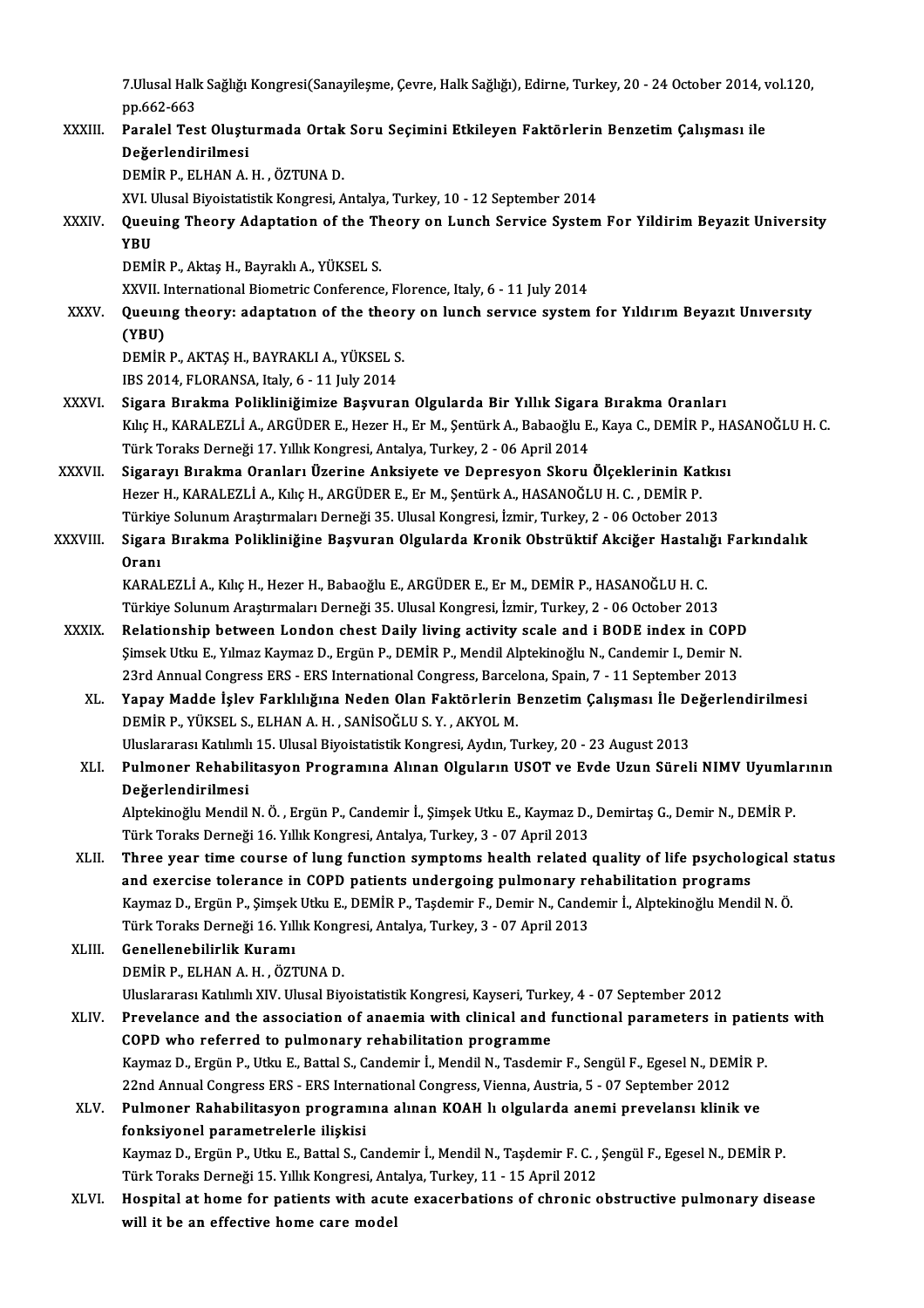7.Ulusal Halk Sağlığı Kongresi(Sanayileşme, Çevre, Halk Sağlığı), Edirne, Turkey, 20 - 24 October 2014, vol.120,<br>PR 663,663 7.Ulusal Hall<br>pp.662-663<br>Paralal Tea 7.Ulusal Halk Sağlığı Kongresi(Sanayileşme, Çevre, Halk Sağlığı), Edirne, Turkey, 20 - 24 October 2014, v<br>pp.662-663<br>XXXIII. Paralel Test Oluşturmada Ortak Soru Seçimini Etkileyen Faktörlerin Benzetim Çalışması ile<br>Değerle

pp.662-663<br>Paralel Test Oluştı<br>Değerlendirilmesi<br>DEMİP B. ELHANA Paralel Test Oluşturmada Ortak<br>Değerlendirilmesi<br>DEMİR P., ELHAN A. H. , ÖZTUNA D.<br>YVI Hlusal Bivoistatistik Kongresi, A De<mark>ğerlendirilmesi</mark><br>DEMİR P., ELHAN A. H. , ÖZTUNA D.<br>XVI. Ulusal Biyoistatistik Kongresi, Antalya, Turkey, 10 - 12 September 2014 DEMİR P., ELHAN A. H. , ÖZTUNA D.<br>XVI. Ulusal Biyoistatistik Kongresi, Antalya, Turkey, 10 - 12 September 2014<br>XXXIV. Queuing Theory Adaptation of the Theory on Lunch Service System For Yildirim Beyazit University<br>VPU XVI. U<br><mark>Queu</mark><br>YBU<br>DEMİ Queuing Theory Adaptation of the Th<br>YBU<br>DEMİR P., Aktaş H., Bayraklı A., YÜKSEL S.<br>YYVIL International Biometric Conference

YBU<br>DEMİR P., Aktaş H., Bayraklı A., YÜKSEL S.<br>XXVII. International Biometric Conference, Florence, Italy, 6 - 11 July 2014<br>Queuung theory: adentation of the theory on lungh service system

- DEMİR P., Aktaş H., Bayraklı A., YÜKSEL S.<br>XXVII. International Biometric Conference, Florence, Italy, 6 11 July 2014<br>XXXV. Queuıng theory: adaptatıon of the theory on lunch service system for Yıldırım Beyazıt Univers XXVII. I<br><mark>Queuir</mark><br>(YBU)<br>DEM<sup>ip</sup> Queuing theory: adaptation of the theor<br>(YBU)<br>DEMİR P., AKTAŞ H., BAYRAKLI A., YÜKSEL S.<br>IBS 2014, ELOPANSA, İtaly, 6, 11 July 2014
	- (YBU)<br>DEMİR P., AKTAŞ H., BAYRAKLI A., YÜKSEL S.<br>IBS 2014, FLORANSA, Italy, 6 11 July 2014
	-
- XXXVI. Sigara Bırakma Polikliniğimize Başvuran Olgularda Bir Yıllık Sigara Bırakma Oranları IBS 2014, FLORANSA, Italy, 6 - 11 July 2014<br>Sigara Bırakma Polikliniğimize Başvuran Olgularda Bir Yıllık Sigara Bırakma Oranları<br>Kılıç H., KARALEZLİ A., ARGÜDER E., Hezer H., Er M., Şentürk A., Babaoğlu E., Kaya C., DEMİR Sigara Bırakma Polikliniğimize Başvuran Olgularda Bir Yıllık Sigar:<br>Kılıç H., KARALEZLİ A., ARGÜDER E., Hezer H., Er M., Şentürk A., Babaoğlu E<br>Türk Toraks Derneği 17. Yıllık Kongresi, Antalya, Turkey, 2 - 06 April 2014<br>Si Kılıç H., KARALEZLİ A., ARGÜDER E., Hezer H., Er M., Şentürk A., Babaoğlu E., Kaya C., DEMİR P., H.<br>Türk Toraks Derneği 17. Yıllık Kongresi, Antalya, Turkey, 2 - 06 April 2014<br>XXXVII. Sigarayı Bırakma Oranları Üzerine Anks
- Türk Toraks Derneği 17. Yıllık Kongresi, Antalya, Turkey, 2 06 April 2014<br>Sigarayı Bırakma Oranları Üzerine Anksiyete ve Depresyon Skoru Ölçeklerinin Katkısı<br>Hezer H., KARALEZLİ A., Kılıç H., ARGÜDER E., Er M., Şentürk A Sigarayı Bırakma Oranları Üzerine Anksiyete ve Depresyon Skoru Ölçeklerinin Katkıs<br>Hezer H., KARALEZLİ A., Kılıç H., ARGÜDER E., Er M., Şentürk A., HASANOĞLU H. C. , DEMİR P.<br>Türkiye Solunum Araştırmaları Derneği 35. Ulusa
- XXXVIII. Sigara Bırakma Polikliniğine Başvuran Olgularda Kronik Obstrüktif Akciğer Hastalığı Farkındalık<br>Oranı Türkiy<br>Sigara<br>Oranı<br>KARAI Sigara Bırakma Polikliniğine Başvuran Olgularda Kronik Obstrüktif Akciğer Hastalı<br>Oranı<br>KARALEZLİ A., Kılıç H., Hezer H., Babaoğlu E., ARGÜDER E., Er M., DEMİR P., HASANOĞLU H. C.<br>Türkiye Solunum Arastırmaları Derneği 25 U Oranı<br>KARALEZLİ A., Kılıç H., Hezer H., Babaoğlu E., ARGÜDER E., Er M., DEMİR P., HASANOĞLU H. C.<br>Türkiye Solunum Araştırmaları Derneği 35. Ulusal Kongresi, İzmir, Turkey, 2 - 06 October 2013<br>Belationshin between Landan sh

- KARALEZLİ A., Kılıç H., Hezer H., Babaoğlu E., ARGÜDER E., Er M., DEMİR P., HASANOĞLU H. C.<br>Türkiye Solunum Araştırmaları Derneği 35. Ulusal Kongresi, İzmir, Turkey, 2 06 October 2013<br>XXXIX. Relationship between London c Türkiye Solunum Araştırmaları Derneği 35. Ulusal Kongresi, İzmir, Turkey, 2 - 06 October 2013<br>Relationship between London chest Daily living activity scale and i BODE index in COPE<br>Şimsek Utku E., Yılmaz Kaymaz D., Ergün P Relationship between London chest Daily living activity scale and i BODE index in COPI<br>Şimsek Utku E., Yılmaz Kaymaz D., Ergün P., DEMİR P., Mendil Alptekinoğlu N., Candemir I., Demir N.<br>23rd Annual Congress ERS - ERS Inte Şimsek Utku E., Yılmaz Kaymaz D., Ergün P., DEMİR P., Mendil Alptekinoğlu N., Candemir I., Demir N.<br>23rd Annual Congress ERS - ERS International Congress, Barcelona, Spain, 7 - 11 September 2013<br>XL. Yapay Madde İşlev Farkl
	- 23rd Annual Congress ERS ERS International Congress, Barcelona, Spain, 7 11 September 2013<br>Yapay Madde İşlev Farklılığına Neden Olan Faktörlerin Benzetim Çalışması İle Değerler<br>DEMİR P., YÜKSEL S., ELHAN A. H. , SANİSO Yapay Madde İşlev Farklılığına Neden Olan Faktörlerin Benzetim Çalışması İle Do<br>DEMİR P., YÜKSEL S., ELHAN A. H. , SANİSOĞLU S. Y. , AKYOL M.<br>Uluslararası Katılımlı 15. Ulusal Biyoistatistik Kongresi, Aydın, Turkey, 20 - 2 Uluslararası Katılımlı 15. Ulusal Biyoistatistik Kongresi, Aydın, Turkey, 20 - 23 August 2013
	- XLI. Pulmoner Rehabilitasyon Programına Alınan Olguların USOT ve Evde Uzun Süreli NIMV Uyumlarının Pulmoner Rehabilitasyon Programına Alınan Olguların USOT ve Evde Uzun Süreli NIMV Uyumla<br>Değerlendirilmesi<br>Alptekinoğlu Mendil N. Ö., Ergün P., Candemir İ., Şimşek Utku E., Kaymaz D., Demirtaş G., Demir N., DEMİR P.<br>Türk T

<mark>Değerlendirilmesi</mark><br>Alptekinoğlu Mendil N. Ö. , Ergün P., Candemir İ., Şimşek Utku E., Kaymaz D.,<br>Türk Toraks Derneği 16. Yıllık Kongresi, Antalya, Turkey, 3 - 07 April 2013<br>Thnee veer time seurse ef lung fungtion symptems Alptekinoğlu Mendil N. Ö. , Ergün P., Candemir İ., Şimşek Utku E., Kaymaz D., Demirtaş G., Demir N., DEMİR P.<br>Türk Toraks Derneği 16. Yıllık Kongresi, Antalya, Turkey, 3 - 07 April 2013<br>XLII. Three year time course of

Türk Toraks Derneği 16. Yıllık Kongresi, Antalya, Turkey, 3 - 07 April 2013<br>Three year time course of lung function symptoms health related quality of life psycholo<br>and exercise tolerance in COPD patients undergoing pulmon Three year time course of lung function symptoms health related quality of life psychological s<br>and exercise tolerance in COPD patients undergoing pulmonary rehabilitation programs<br>Kaymaz D., Ergün P., Şimşek Utku E., DEMİ and exercise tolerance in COPD patients undergoing pulmonary re<br>Kaymaz D., Ergün P., Şimşek Utku E., DEMİR P., Taşdemir F., Demir N., Cande<br>Türk Toraks Derneği 16. Yıllık Kongresi, Antalya, Turkey, 3 - 07 April 2013<br>Canall Kaymaz D., Ergün P., Şimşek Utku E., DEMİR P., Taşdemir F., Demir N., Candemir İ., Alptekinoğlu Mendil N. Ö.<br>Türk Toraks Derneği 16. Yıllık Kongresi, Antalya, Turkey, 3 - 07 April 2013<br>XLIII. Genellenebilirlik Kuramı<br>DEMİR

Türk Toraks Derneği 16. Yıllık Kong<br>Genellenebilirlik Kuramı<br>DEMİR P., ELHAN A. H. , ÖZTUNA D.<br>Uluslararası Katılımlı YIV. Ulusal Biv Genellenebilirlik Kuramı<br>DEMİR P., ELHAN A. H. , ÖZTUNA D.<br>Uluslararası Katılımlı XIV. Ulusal Biyoistatistik Kongresi, Kayseri, Turkey, 4 - 07 September 2012<br>Prevelanes and the association of anaemia with clinisel and func DEMİR P., ELHAN A. H. , ÖZTUNA D.<br>Uluslararası Katılımlı XIV. Ulusal Biyoistatistik Kongresi, Kayseri, Turkey, 4 - 07 September 2012<br>XLIV. Prevelance and the association of anaemia with clinical and functional paramete

Uluslararası Katılımlı XIV. Ulusal Biyoistatistik Kongresi, Kayseri, Turk<br>Prevelance and the association of anaemia with clinical and f<br>COPD who referred to pulmonary rehabilitation programme<br>Kaymas D. Ergün B. Utlay E. Ba Prevelance and the association of anaemia with clinical and functional parameters in patie:<br>COPD who referred to pulmonary rehabilitation programme<br>Kaymaz D., Ergün P., Utku E., Battal S., Candemir İ., Mendil N., Tasdemir 20PD who referred to pulmonary rehabilitation programme<br>Kaymaz D., Ergün P., Utku E., Battal S., Candemir İ., Mendil N., Tasdemir F., Sengül F., Egesel N., DEMİR P. 22nd Annual Congress ERS - ERS International Congress, Vienna, Austria, 5 - 07 September 2012

### XLV. Pulmoner Rahabilitasyon programına alınan KOAH lı olgularda anemi prevelansı klinik ve Pulmoner Rahabilitasyon programına alınan KOAH lı olgularda anemi prevelansı klinik ve<br>fonksiyonel parametrelerle ilişkisi<br>Kaymaz D., Ergün P., Utku E., Battal S., Candemir İ., Mendil N., Taşdemir F. C. , Şengül F., Egesel fonksiyonel parametrelerle ilişkisi<br>Kaymaz D., Ergün P., Utku E., Battal S., Candemir İ., Mendil N., Taşdemir F. C. ,<br>Türk Toraks Derneği 15. Yıllık Kongresi, Antalya, Turkey, 11 - 15 April 2012<br>Hespital at boma for patien

Kaymaz D., Ergün P., Utku E., Battal S., Candemir İ., Mendil N., Taşdemir F. C. , Şengül F., Egesel N., DEMİR P.<br>Türk Toraks Derneği 15. Yıllık Kongresi, Antalya, Turkey, 11 - 15 April 2012<br>XLVI. Hospital at home for p Türk Toraks Derneği 15. Yıllık Kongresi, Ant<br>Hospital at home for patients with acu<br>will it be an effective home care model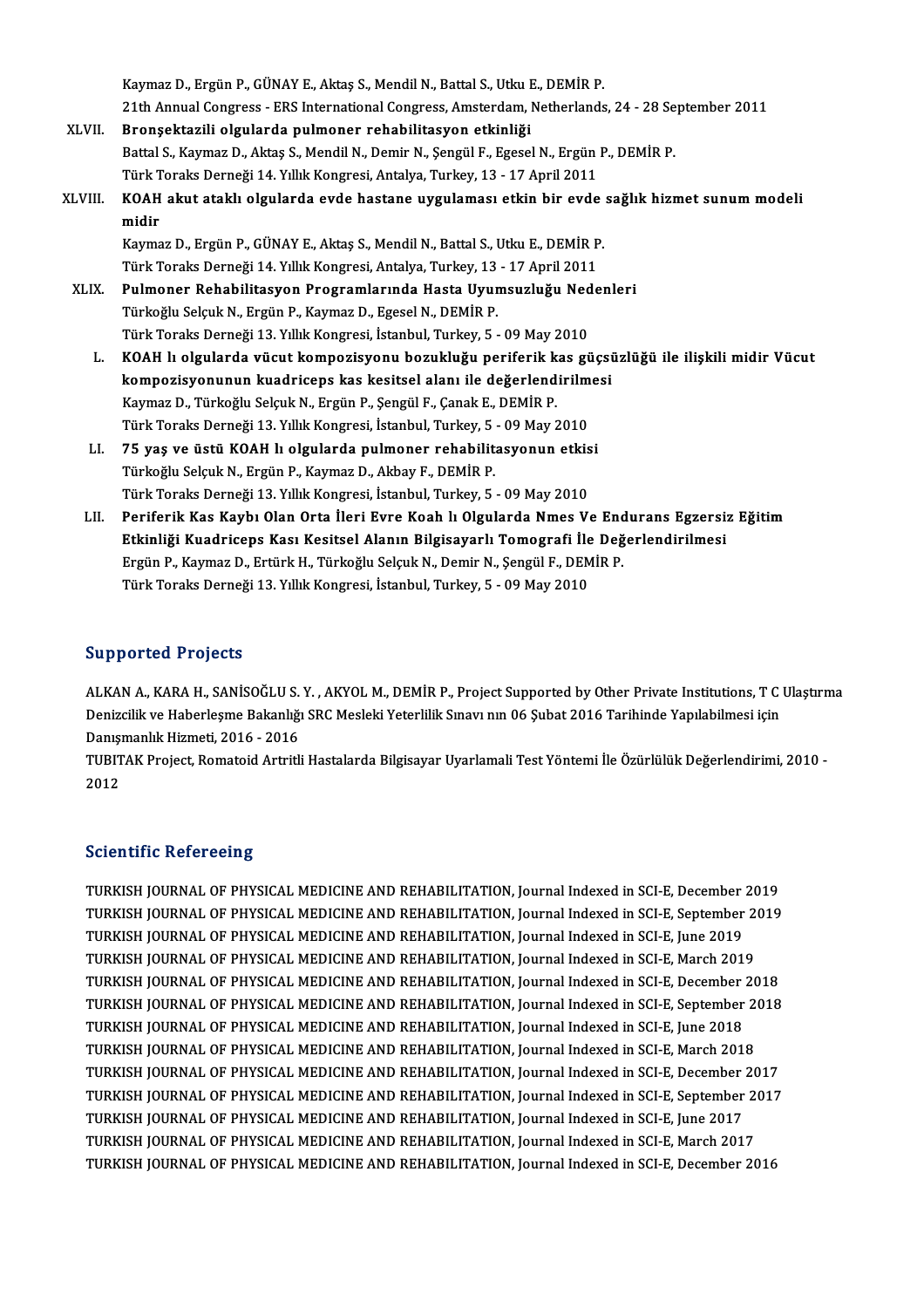|         | Kaymaz D., Ergün P., GÜNAY E., Aktaş S., Mendil N., Battal S., Utku E., DEMİR P.                  |
|---------|---------------------------------------------------------------------------------------------------|
|         | 21th Annual Congress - ERS International Congress, Amsterdam, Netherlands, 24 - 28 September 2011 |
| XLVII.  | Bronșektazili olgularda pulmoner rehabilitasyon etkinliği                                         |
|         | Battal S., Kaymaz D., Aktaş S., Mendil N., Demir N., Şengül F., Egesel N., Ergün P., DEMİR P.     |
|         | Türk Toraks Derneği 14. Yıllık Kongresi, Antalya, Turkey, 13 - 17 April 2011                      |
| XLVIII. | KOAH akut ataklı olgularda evde hastane uygulaması etkin bir evde sağlık hizmet sunum modeli      |
|         | midir                                                                                             |
|         | Kaymaz D., Ergün P., GÜNAY E., Aktaş S., Mendil N., Battal S., Utku E., DEMİR P.                  |
|         | Türk Toraks Derneği 14. Yıllık Kongresi, Antalya, Turkey, 13 - 17 April 2011                      |
| XLIX.   | Pulmoner Rehabilitasyon Programlarında Hasta Uyumsuzluğu Nedenleri                                |
|         | Türkoğlu Selçuk N., Ergün P., Kaymaz D., Egesel N., DEMİR P.                                      |
|         | Türk Toraks Derneği 13. Yıllık Kongresi, İstanbul, Turkey, 5 - 09 May 2010                        |
| L.      | KOAH lı olgularda vücut kompozisyonu bozukluğu periferik kas güçsüzlüğü ile ilişkili midir Vücut  |
|         | kompozisyonunun kuadriceps kas kesitsel alanı ile değerlendirilmesi                               |
|         | Kaymaz D., Türkoğlu Selçuk N., Ergün P., Şengül F., Çanak E., DEMİR P.                            |
|         | Türk Toraks Derneği 13. Yıllık Kongresi, İstanbul, Turkey, 5 - 09 May 2010                        |
| LI.     | 75 yaş ve üstü KOAH lı olgularda pulmoner rehabilitasyonun etkisi                                 |
|         | Türkoğlu Selçuk N., Ergün P., Kaymaz D., Akbay F., DEMİR P.                                       |
|         | Türk Toraks Derneği 13. Yıllık Kongresi, İstanbul, Turkey, 5 - 09 May 2010                        |
| LII.    | Periferik Kas Kaybı Olan Orta İleri Evre Koah lı Olgularda Nmes Ve Endurans Egzersiz Eğitim       |
|         | Etkinliği Kuadriceps Kası Kesitsel Alanın Bilgisayarlı Tomografi İle Değerlendirilmesi            |
|         | Ergün P., Kaymaz D., Ertürk H., Türkoğlu Selçuk N., Demir N., Şengül F., DEMİR P.                 |
|         | Türk Toraks Derneği 13. Yıllık Kongresi, İstanbul, Turkey, 5 - 09 May 2010                        |

### Supported Projects

Supported Projects<br>ALKAN A., KARA H., SANİSOĞLU S. Y. , AKYOL M., DEMİR P., Project Supported by Other Private Institutions, T C Ulaştırma<br>Denizsilik ve Haberlesme Pakaplığı SPC Mesleli Yeterlilik Supay pup 96 Subat 2016 T Du portod Frojoces<br>ALKAN A., KARA H., SANİSOĞLU S. Y. , AKYOL M., DEMİR P., Project Supported by Other Private Institutions, T C<br>Denizcilik ve Haberleşme Bakanlığı SRC Mesleki Yeterlilik Sınavı nın 06 Şubat 2016 Tarihinde Denizcilik ve Haberleşme Bakanlığı SRC Mesleki Yeterlilik Sınavı nın 06 Şubat 2016 Tarihinde Yapılabilmesi için Danışmanlık Hizmeti, 2016 - 2016

TUBITAK Project, Romatoid Artritli Hastalarda Bilgisayar Uyarlamali Test Yöntemi İle Özürlülük Değerlendirimi, 2010 -<br>2012

### **Scientific Refereeing**

Scientific Refereeing<br>TURKISH JOURNAL OF PHYSICAL MEDICINE AND REHABILITATION, Journal Indexed in SCI-E, December 2019<br>TURKISH JOURNAL OF PHYSICAL MEDICINE AND REHABILITATION, Journal Indexed in SCI-E, September 2019 DUCKENTE RUIDE COME<br>TURKISH JOURNAL OF PHYSICAL MEDICINE AND REHABILITATION, Journal Indexed in SCI-E, December 2019<br>TURKISH JOURNAL OF PHYSICAL MEDICINE AND REHABILITATION, Journal Indexed in SCI-E, September 2019<br>TURKISH TURKISH JOURNAL OF PHYSICAL MEDICINE AND REHABILITATION, Journal Indexed in SCI-E, December<br>TURKISH JOURNAL OF PHYSICAL MEDICINE AND REHABILITATION, Journal Indexed in SCI-E, September<br>TURKISH JOURNAL OF PHYSICAL MEDICINE TURKISH JOURNAL OF PHYSICAL MEDICINE AND REHABILITATION, Journal Indexed in SCI-E, September 2<br>TURKISH JOURNAL OF PHYSICAL MEDICINE AND REHABILITATION, Journal Indexed in SCI-E, June 2019<br>TURKISH JOURNAL OF PHYSICAL MEDICI TURKISH JOURNAL OF PHYSICAL MEDICINE AND REHABILITATION, Journal Indexed in SCI-E, June 2019<br>TURKISH JOURNAL OF PHYSICAL MEDICINE AND REHABILITATION, Journal Indexed in SCI-E, March 2019<br>TURKISH JOURNAL OF PHYSICAL MEDICIN TURKISH JOURNAL OF PHYSICAL MEDICINE AND REHABILITATION, Journal Indexed in SCI-E, March 2019<br>TURKISH JOURNAL OF PHYSICAL MEDICINE AND REHABILITATION, Journal Indexed in SCI-E, December 2018<br>TURKISH JOURNAL OF PHYSICAL MED TURKISH JOURNAL OF PHYSICAL MEDICINE AND REHABILITATION, Journal Indexed in SCI-E, December<br>TURKISH JOURNAL OF PHYSICAL MEDICINE AND REHABILITATION, Journal Indexed in SCI-E, September<br>TURKISH JOURNAL OF PHYSICAL MEDICINE TURKISH JOURNAL OF PHYSICAL MEDICINE AND REHABILITATION, Journal Indexed in SCI-E, September 2018<br>TURKISH JOURNAL OF PHYSICAL MEDICINE AND REHABILITATION, Journal Indexed in SCI-E, June 2018<br>TURKISH JOURNAL OF PHYSICAL MED TURKISH JOURNAL OF PHYSICAL MEDICINE AND REHABILITATION, Journal Indexed in SCI-E, June 2018 TURKISH JOURNAL OF PHYSICAL MEDICINE AND REHABILITATION, Journal Indexed in SCI-E, March 2018<br>TURKISH JOURNAL OF PHYSICAL MEDICINE AND REHABILITATION, Journal Indexed in SCI-E, December 2017<br>TURKISH JOURNAL OF PHYSICAL MED TURKISH JOURNAL OF PHYSICAL MEDICINE AND REHABILITATION, Journal Indexed in SCI-E, December<br>TURKISH JOURNAL OF PHYSICAL MEDICINE AND REHABILITATION, Journal Indexed in SCI-E, September<br>TURKISH JOURNAL OF PHYSICAL MEDICINE TURKISH JOURNAL OF PHYSICAL MEDICINE AND REHABILITATION, Journal Indexed in SCI-E, September 2<br>TURKISH JOURNAL OF PHYSICAL MEDICINE AND REHABILITATION, Journal Indexed in SCI-E, June 2017<br>TURKISH JOURNAL OF PHYSICAL MEDICI TURKISH JOURNAL OF PHYSICAL MEDICINE AND REHABILITATION, Journal Indexed in SCI-E, June 2017<br>TURKISH JOURNAL OF PHYSICAL MEDICINE AND REHABILITATION, Journal Indexed in SCI-E, March 2017<br>TURKISH JOURNAL OF PHYSICAL MEDICIN